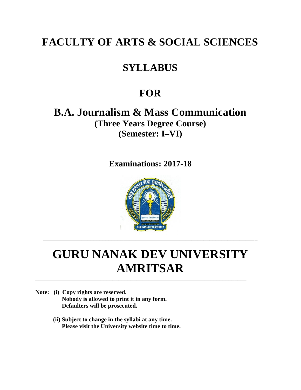# **FACULTY OF ARTS & SOCIAL SCIENCES**

# **SYLLABUS**

# **FOR**

**B.A. Journalism & Mass Communication (Three Years Degree Course) (Semester: I–VI)**

**Examinations: 2017-18**



# **GURU NANAK DEV UNIVERSITY AMRITSAR**

\_\_\_\_\_\_\_\_\_\_\_\_\_\_\_\_\_\_\_\_\_\_\_\_\_\_\_\_\_\_\_\_\_\_\_\_\_\_\_\_\_\_\_\_\_\_\_\_\_\_\_\_\_\_\_\_\_\_\_\_\_\_\_\_\_\_\_\_\_\_\_

- **Note: (i) Copy rights are reserved. Nobody is allowed to print it in any form. Defaulters will be prosecuted.**
	- **(ii) Subject to change in the syllabi at any time. Please visit the University website time to time.**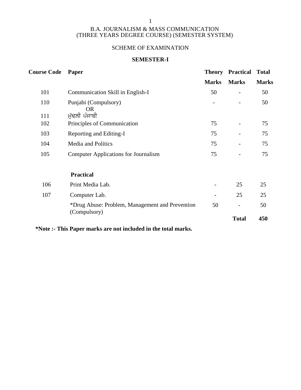### 1

### B.A. JOURNALISM & MASS COMMUNICATION (THREE YEARS DEGREE COURSE) (SEMESTER SYSTEM)

# SCHEME OF EXAMINATION

### **SEMESTER-I**

| <b>Course Code</b> | Paper                                                           | <b>Theory</b>            | <b>Practical</b><br><b>Total</b> |              |  |  |
|--------------------|-----------------------------------------------------------------|--------------------------|----------------------------------|--------------|--|--|
|                    |                                                                 | <b>Marks</b>             | <b>Marks</b>                     | <b>Marks</b> |  |  |
| 101                | Communication Skill in English-I                                | 50                       | $\qquad \qquad -$                | 50           |  |  |
| 110                | Punjabi (Compulsory)<br>OR.                                     |                          | $\overline{\phantom{0}}$         | 50           |  |  |
| 111                | ਮੁੱਢਲੀ ਪੰਜਾਬੀ                                                   |                          |                                  |              |  |  |
| 102                | Principles of Communication                                     | 75                       | $\overline{\phantom{a}}$         | 75           |  |  |
| 103                | Reporting and Editing-I                                         | 75                       | $\overline{\phantom{a}}$         | 75           |  |  |
| 104                | <b>Media and Politics</b>                                       | 75                       |                                  | 75           |  |  |
| 105                | <b>Computer Applications for Journalism</b>                     | 75                       | $\overline{\phantom{a}}$         | 75           |  |  |
|                    | <b>Practical</b>                                                |                          |                                  |              |  |  |
| 106                | Print Media Lab.                                                |                          | 25                               | 25           |  |  |
| 107                | Computer Lab.                                                   | $\overline{\phantom{a}}$ | 25                               | 25           |  |  |
|                    | *Drug Abuse: Problem, Management and Prevention<br>(Compulsory) | 50                       | $\overline{\phantom{a}}$         | 50           |  |  |
|                    |                                                                 |                          | <b>Total</b>                     | 450          |  |  |
|                    |                                                                 |                          |                                  |              |  |  |

**\*Note :- This Paper marks are not included in the total marks.**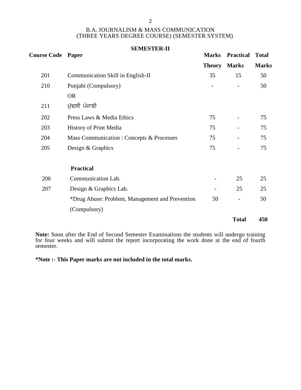### 2

### B.A. JOURNALISM & MASS COMMUNICATION (THREE YEARS DEGREE COURSE) (SEMESTER SYSTEM)

|                          | <b>SEMESTER-II</b>                              |                          |                          |              |  |
|--------------------------|-------------------------------------------------|--------------------------|--------------------------|--------------|--|
| <b>Course Code Paper</b> |                                                 | <b>Marks</b>             | <b>Practical</b>         | <b>Total</b> |  |
|                          |                                                 | <b>Theory Marks</b>      |                          | <b>Marks</b> |  |
| 201                      | Communication Skill in English-II               | 35                       | 15                       | 50           |  |
| 210                      | Punjabi (Compulsory)                            |                          | $\overline{\phantom{a}}$ | 50           |  |
|                          | <b>OR</b>                                       |                          |                          |              |  |
| 211                      | ਮੁੱਢਲੀ ਪੰਜਾਬੀ                                   |                          |                          |              |  |
| 202                      | Press Laws & Media Ethics                       | 75                       | $\overline{\phantom{a}}$ | 75           |  |
| 203                      | History of Print Media                          | 75                       | $\overline{\phantom{a}}$ | 75           |  |
| 204                      | Mass Communication : Concepts & Processes       | 75                       |                          | 75           |  |
| 205                      | Design & Graphics                               | 75                       |                          | 75           |  |
|                          | <b>Practical</b>                                |                          |                          |              |  |
| 206                      | Communication Lab.                              | $\overline{\phantom{a}}$ | 25                       | 25           |  |
| 207                      | Design & Graphics Lab.                          | $\overline{\phantom{a}}$ | 25                       | 25           |  |
|                          | *Drug Abuse: Problem, Management and Prevention | 50                       | $\overline{\phantom{a}}$ | 50           |  |
|                          | (Compulsory)                                    |                          |                          |              |  |
|                          |                                                 |                          | <b>Total</b>             | 450          |  |

**Note:** Soon after the End of Second Semester Examinations the students will undergo training for four weeks and will submit the report incorporating the work done at the end of fourth semester.

**\*Note :- This Paper marks are not included in the total marks.**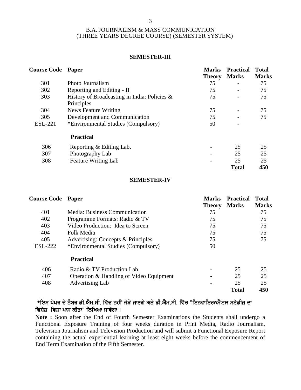### **SEMESTER-III**

| <b>Course Code Paper</b> |                                                            | <b>Marks</b><br><b>Theory</b> | <b>Practical</b><br><b>Marks</b> | <b>Total</b><br><b>Marks</b> |
|--------------------------|------------------------------------------------------------|-------------------------------|----------------------------------|------------------------------|
| 301                      | Photo Journalism                                           | 75                            |                                  | 75                           |
| 302                      | Reporting and Editing - II                                 | 75                            | -                                | 75                           |
| 303                      | History of Broadcasting in India: Policies &<br>Principles | 75                            | $\overline{a}$                   | 75                           |
| 304                      | News Feature Writing                                       | 75                            |                                  | 75                           |
| 305                      | Development and Communication                              | 75                            |                                  | 75                           |
| <b>ESL-221</b>           | *Environmental Studies (Compulsory)                        | 50                            |                                  |                              |
|                          | <b>Practical</b>                                           |                               |                                  |                              |
| 306                      | Reporting & Editing Lab.                                   |                               | 25                               | 25                           |
| 307                      | Photography Lab                                            |                               | 25                               | 25                           |
| 308                      | <b>Feature Writing Lab</b>                                 |                               | 25                               | 25                           |
|                          |                                                            |                               | <b>Total</b>                     | 450                          |

### **SEMESTER-IV**

| <b>Course Code Paper</b> |                                         | <b>Marks</b><br><b>Theory</b> | <b>Practical</b><br><b>Marks</b> | Total<br><b>Marks</b> |
|--------------------------|-----------------------------------------|-------------------------------|----------------------------------|-----------------------|
| 401                      | Media: Business Communication           | 75                            |                                  | 75                    |
| 402                      | Programme Formats: Radio & TV           | 75                            |                                  | 75                    |
| 403                      | Video Production: Idea to Screen        | 75                            |                                  | 75                    |
| 404                      | Folk Media                              | 75                            |                                  | 75                    |
| 405                      | Advertising: Concepts & Principles      | 75                            |                                  | 75                    |
| <b>ESL-222</b>           | *Environmental Studies (Compulsory)     | 50                            |                                  |                       |
|                          | <b>Practical</b>                        |                               |                                  |                       |
| 406                      | Radio & TV Production Lab.              |                               | 25                               | 25                    |
| 407                      | Operation & Handling of Video Equipment |                               | 25                               | 25                    |
| 408                      | <b>Advertising Lab</b>                  | $\qquad \qquad$               | 25                               | 25                    |
|                          |                                         |                               | <b>Total</b>                     | 450                   |

# \*ਇਸ ਪੇਪਰ ਦੇ ਨੰਬਰ ਡੀ.ਐਮ.ਸੀ. ਵਿੱਚ ਨਹੀਂ ਜੋੜੇ ਜਾਣਗੇ ਅਤੇ ਡੀ.ਐਮ.ਸੀ. ਵਿੱਚ "ਇਨਵਾਇਰਨਮੈਂਟਲ ਸਟੱਡੀਜ਼ ਦਾ ਵਿਸ਼ੇਸ਼ ਵਿਸ਼ਾ ਪਾਸ ਕੀਤਾ" ਲਿਖਿਆ ਜਾਵੇਗਾ ।

**Note :** Soon after the End of Fourth Semester Examinations the Students shall undergo a Functional Exposure Training of four weeks duration in Print Media, Radio Journalism, Television Journalism and Television Production and will submit a Functional Exposure Report containing the actual experiential learning at least eight weeks before the commencement of End Term Examination of the Fifth Semester.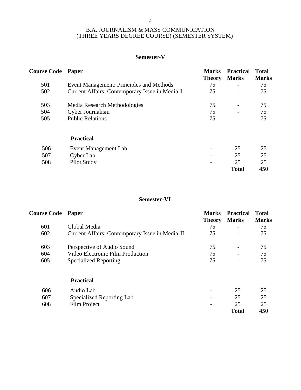### **Semester-V**

|     | <b>Course Code Paper</b>                       |                     | <b>Practical</b><br><b>Marks</b> | <b>Total</b><br><b>Marks</b> |
|-----|------------------------------------------------|---------------------|----------------------------------|------------------------------|
| 501 | Event Management: Principles and Methods       | <b>Theory</b><br>75 |                                  | 75                           |
| 502 | Current Affairs: Contemporary Issue in Media-I | 75                  | $\overline{\phantom{a}}$         | 75                           |
| 503 | Media Research Methodologies                   | 75                  | $\overline{a}$                   | 75                           |
| 504 | Cyber Journalism                               | 75                  |                                  | 75                           |
| 505 | <b>Public Relations</b>                        | 75                  |                                  | 75                           |
|     | <b>Practical</b>                               |                     |                                  |                              |
| 506 | Event Management Lab                           | -                   | 25                               | 25                           |
| 507 | Cyber Lab                                      |                     | 25                               | 25                           |
| 508 | Pilot Study                                    |                     | 25                               | 25                           |
|     |                                                |                     | <b>Total</b>                     | 450                          |

# **Semester-VI**

| <b>Course Code Paper</b> |                                                 | <b>Marks</b><br><b>Theory</b> | <b>Practical</b><br><b>Marks</b> | <b>Total</b><br><b>Marks</b> |
|--------------------------|-------------------------------------------------|-------------------------------|----------------------------------|------------------------------|
| 601                      | Global Media                                    | 75                            |                                  | 75                           |
| 602                      | Current Affairs: Contemporary Issue in Media-II | 75                            | $\overline{\phantom{0}}$         | 75                           |
| 603                      | Perspective of Audio Sound                      | 75                            |                                  | 75                           |
| 604                      | Video Electronic Film Production                | 75                            | $\overline{\phantom{a}}$         | 75                           |
| 605                      | <b>Specialized Reporting</b>                    | 75                            |                                  | 75                           |
|                          | <b>Practical</b>                                |                               |                                  |                              |
| 606                      | Audio Lab                                       | $\overline{\phantom{a}}$      | 25                               | 25                           |
| 607                      | Specialized Reporting Lab                       | -                             | 25                               | 25                           |
| 608                      | Film Project                                    | $\overline{\phantom{a}}$      | 25<br><b>Total</b>               | 25<br>450                    |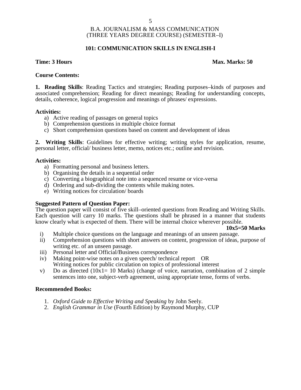### **101: COMMUNICATION SKILLS IN ENGLISH-I**

### **Time: 3 Hours Max. Marks: 50**

### **Course Contents:**

**1. Reading Skills**: Reading Tactics and strategies; Reading purposes–kinds of purposes and associated comprehension; Reading for direct meanings; Reading for understanding concepts, details, coherence, logical progression and meanings of phrases/ expressions.

### **Activities:**

- a) Active reading of passages on general topics
- b) Comprehension questions in multiple choice format
- c) Short comprehension questions based on content and development of ideas

**2. Writing Skills**: Guidelines for effective writing; writing styles for application, resume, personal letter, official/ business letter, memo, notices etc.; outline and revision.

### **Activities:**

- a) Formatting personal and business letters.
- b) Organising the details in a sequential order
- c) Converting a biographical note into a sequenced resume or vice-versa
- d) Ordering and sub-dividing the contents while making notes.
- e) Writing notices for circulation/ boards

### **Suggested Pattern of Question Paper:**

The question paper will consist of five skill–oriented questions from Reading and Writing Skills. Each question will carry 10 marks. The questions shall be phrased in a manner that students know clearly what is expected of them. There will be internal choice wherever possible.

### **10x5=50 Marks**

- i) Multiple choice questions on the language and meanings of an unseen passage.
- ii) Comprehension questions with short answers on content, progression of ideas, purpose of writing etc. of an unseen passage.
- iii) Personal letter and Official/Business correspondence
- iv) Making point-wise notes on a given speech/ technical report OR Writing notices for public circulation on topics of professional interest
- v) Do as directed (10x1= 10 Marks) (change of voice, narration, combination of 2 simple sentences into one, subject-verb agreement, using appropriate tense, forms of verbs.

### **Recommended Books:**

- 1. *Oxford Guide to Effective Writing and Speaking* by John Seely.
- 2. *English Grammar in Use* (Fourth Edition) by Raymond Murphy, CUP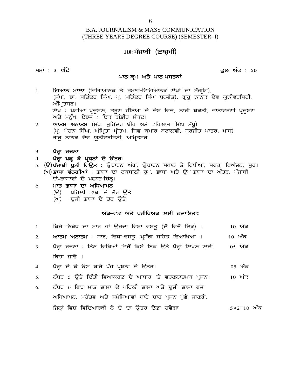# B.A. JOURNALISM & MASS COMMUNICATION (THREE YEARS DEGREE COURSE) (SEMESTER–I) <sup>6</sup><br>LISM & MASS COMMUNICA<br><sup>|</sup> DEGREE COURSE) (SEMES<br>110: <mark>ਪੰਜਾਬੀ (ਲਾਜ਼ਮੀ)</mark> <sub>(THREE</sub> YEARS DEGREE COURSE) (SEMESTER–I)<br>(THREE YEARS DEGREE COURSE) (SEMESTER–I)<br>ਸਮਾਂ : 3 ਘੰਟੇ<br>ਪਾਠ–ਕ੍ਰਮ ਅਤੇ ਪਾਠ-ਪੁਸਤਕਾਂ ਭਲ ਐਕ : 50

# **g DEGKEE COOKSE) (SEM**<br>110: **ਪੰਜਾਬੀ (ਲਾਜ਼ਮੀ)**<br>ਪਾਠ-ਕ੍ਰਮ ਅਤੇ ਪਾਠ-ਪੁਸਤਕਾਂ<br>ਕੇ ਸਮਾਦ-ਵਿਗਿਆਨਕ ਸੇਖਾਂ ਜਾ

- 110: ਪੰਜਾਬੀ (ਲਾਜ਼ਮੈਂਸ)<br>ਸਮਾਂ : 3 **ਘੰਟੇ**<br>1. ਗਿਆਨ ਮਾਲਾ (ਵਿਗਿਆਨਕ ਤੇ ਸਮਾਜ-ਵਿਗਿਆਨਕ ਲੇਖਾਂ ਦਾ ਸੰਗ੍ਰਹਿ),<br>(ਸੰਪਾ ਡਾ. ਸਤਿੰਦਰ ਸਿੰਘ, ਪ੍ਰੋ. ਮਹਿੰਦਰ ਸਿੰਘ ਬਨਵੈਤ), ਗੁਰੂ ਨਾਨਕ ਦੇਵ ਯੂਨੀਵਰਸਿਟੀ,<br>ਅੰਮਿਤਸਰ। 3 **ਘੰਟੇ**<br>10 ਪਾਠ-ਕ੍ਰਮ ਅਤੇ ਪਾਠ-ਪੁਸਤਕਾਂ<br>(ਸੰਘਾਨ <mark>ਮਾਲਾ</mark> (ਵਿਗਿਆਨਕ ਤੇ ਸਮਾਜ-ਵਿਗਿਆਨਕ ਲੇਖਾਂ ਦਾ ਸੰਗ੍ਰਹਿ),<br>ਅੰਮ੍ਰਿਤਸਰ।<br>ਅੰਮ੍ਰਿਤਸਰ।<br>ਲੇਮ : ਪਾਹੀਆ ਪਦਸ਼ਣ ਕਰਣ ਹੱਤਿਆ ਦੇ ਦੇਸ ਵਿਚ ਨਾਰੀ ਸ਼ਕਤੀ ਵਾਤਾਵਰਣੀ ਪਦਸ਼ਣ **3 ਘੰਟੇ**<br>**ਗਿਆਨ ਮਾਲਾ** (ਵਿਗਿਆਨ<br>(ਸੰਪਾ ਡਾ. ਸਤਿੰਦਰ ਸਿੰਘ<br>ਅੰਮ੍ਰਿਤਸਰ।<br>ਲੇਖ : ਪਹੀਆ ਪ੍ਰਦੂਸ਼ਣ,<br>ਅਤੇ ਮਨੱਮ ਏਤਜ਼ - ਇਕ ਤ ਸਾਂਦ<br>ਗਿਆਨ ਮਾਲਾ (ਵਿਗਿਆਨਕ ਤੇ ਸਮਾਜ-ਵਿਗਿਆਨਕ ਲੇਖਾਂ ਦਾ ਸੰਗ੍ਰਹਿ),<br>(ਸੰਪਾ ਡਾ ਸਤਿੰਦਰ ਸਿੰਘ, ਪ੍ਰੋ ਮਹਿੰਦਰ ਸਿੰਘ ਬਨਵੈਤ), ਗੁਰੂ ਨਾਨਕ ਦੇਵ ਯੂਨੀਵਰਸਿਟੀ,<br>ਅੰਮ੍ਰਿਤਸਰ।<br>ਲੇਖ : ਪਹੀਆ ਪ੍ਰਦੂਸ਼ਣ, ਭਰੂਣ ਹੱਤਿਆ ਦੇ ਦੇਸ਼ ਵਿਚ, ਨਾਰੀ ਸ਼ਕਤੀ, ਵਾਤਾਵਰਣੀ ਪ੍ਰਦੂਸ਼ਣ<br> ਗਿਆਨ ਮਾਲਾ (ਵਿਗਿਆਨਕ ਤੇ ਸਮਾਜ-ਵਿਗਿਆਨਕ ਲੇਖਾਂ ਦਾ<br>(ਸੰਪਾ. ਡਾ. ਸਤਿੰਦਰ ਸਿੰਘ, ਪ੍ਰੋ. ਮਹਿੰਦਰ ਸਿੰਘ ਬਨਵੈਤ), ਗੁਰੂ<br>ਅੰਮ੍ਰਿਤਸਰ।<br>ਲੇਖ : ਪਹੀਆ ਪ੍ਰਦੂਸ਼ਣ, ਭਰੂਣ ਹੱਤਿਆ ਦੇ ਦੇਸ਼ ਵਿਚ, ਨਾਰੀ<br>ਅਤੇ ਮਨੁੱਖ, ਏਡਜ਼ : ਇਕ ਗੰਭੀਰ ਸੰਕਟ।<br>ਆਤਮ ਅਨਾਤਮ (ਸੰਪ. ਸੁਹਿੰਦਰ ਬੀਰ 1. **ਗਿਆਨ ਮਾਲਾ** (ਵਿਗਿਆਨਕ ਤੇ ਸਮਾਜ–ਵਿਗਿਆਨਕ ਲੇਖਾਂ ਦਾ ਸੰਗ੍ਰਹਿ),<br>(ਸੰਪਾ<sub>.</sub> ਡਾ. ਸਤਿੰਦਰ ਸਿੰਘ, ਪ੍ਰੋ. ਮਹਿੰਦਰ ਸਿੰਘ ਬਨਵੈਤ), ਗੁਰੂ ਨਾਨਕ ਦੇਵ ਯੂਨੀਵਰਸਿ<br>ਅੰਮ੍ਰਿਤਸਰ।<br>ਲੇਖ : ਪਹੀਆ ਪ੍ਰਦੂਸ਼ਣ, ਭਰੂਣ ਹੱਤਿਆ ਦੇ ਦੇਸ਼ ਵਿਚ, ਨਾਰੀ ਸ਼ਕਤੀ, ਵਾਤਾਵਰਣੀ ਪ੍ਰਾ<u>.</u><br>ਅ (gq 'H w'jB f; zx, n zfwqsk gqhsw, fFt e [wko pNkbth, ; [oihs gkso, gkF) ਾਜਾਂ: ਤਾਂ: ਸਾਤਦਤਾ ਸਾਂ: ਸ੍ਰਾਂ ਸਾਤਦਤਾ ਸਾਂ: ਜਲਾਵਤ),<br>ਅੰਮ੍ਰਿਤਸਰ।<br>ਲੇਖ : ਪਹੀਆ ਪ੍ਰਦੂਸ਼ਣ, ਭਰੂਣ ਹੱਤਿਆ ਦੇ ਦੇਸ਼ ਵਿਚ, ਨਾ<br>ਅਤੇ ਮਨੁੱਖ, ਏਡਜ਼ : ਇਕ ਗੰਭੀਰ ਸੰਕਟ।<br>ਆਤਮ ਅਨਾਤਮ (ਸੰਪ. ਸੁਹਿੰਦਰ ਬੀਰ ਅਤੇ ਵਰਿਆਮ ਸਿੰਘ<br>(ਪ੍ਰੋ. ਮੋਹਨ ਸਿੰਘ, ਅੰਮ੍ਰਿਤਾ ਪ੍ਰੀਤਮ,
- ਅਤੇ ਮਨੁੱਖ, ਏਡਜ਼<sup>ੋ</sup>: ਇਕ<br>2. **ਆਤਮ ਅਨਾਤਮ** (ਸੰਪ. ਸੁਰਿ<br>(ਪ੍ਰੋ. ਮੋਹਨ ਸਿੰਘ, ਅੰਮ੍ਰਿਤਾ<br>ਗੁਰੂ ਨਾਨਕ ਦੇਵ ਯੂਨੀਵਰਸ਼ਿ<br>3. **ਪੈਰ੍ਹਾ ਪੜ੍ਹ ਕੇ ਪ੍ਰਸ਼ਨਾਂ ਦੇ ਉੱ**<br>4. ਪੈਰ੍ਹਾ **ਪੜ੍ਹ ਕੇ ਪ੍ਰਸ਼ਨਾਂ ਦੇ ਉੱ** 2. **ਆਤਮ ਅਨਾਤਮ** (ਸੰਪ. ਸੁਹਿੰਦਰ ਬੀਰ ਅਤੇ ਵਰਿਆ<br>(ਪ੍ਰੋ. ਮੋਹਨ ਸਿੰਘ, ਅੰਮ੍ਰਿਤਾ ਪ੍ਰੀਤਮ, ਸ਼ਿਵ ਕੁਮਾਰ ਬਟ<br>ਗੁਰੂ ਨਾਨਕ ਦੇਵ ਯੂਨੀਵਰਸਿਟੀ, ਅੰਮ੍ਰਿਤਸਰ।<br>4. **ਪੈਰ੍ਹਾ ਪੜ੍ਹ ਕੇ ਪ੍ਰਸ਼ਨਾਂ ਦੇ ਉੱਤਰ**।<br>5. (ੳ)**ਪੰਜਾਬੀ ਧੁਨੀ ਵਿਉਂਤ** : ਉਚਾਰਨ ਅੰਗ, ਉਚਾਰਨ ਸ<br>(ਅ)ਕਾਸਾ
- 

- (ਪ੍ਰੋ. ਮੋਹਨ ਸਿੰਘ, ਅੰਮ੍ਰਿਤਾ ਪ੍ਰੀਤਮ, ਸ਼ਿਵ ਕੁਮਾਰ ਬਟਾਲਵੀ, ਸੁਰਜੀਤ ਪਾਤਰ, ਪਾਸ਼)<br>ਗੁਰੂ ਨਾਨਕ ਦੇਵ ਯੂਨੀਵਰਸਿਟੀ, ਅੰਮ੍ਰਿਤਸਰ।<br>4. **ਪੈਰ੍ਹਾ ਪੜ੍ਹ ਕੇ ਪ੍ਰਸ਼ਨਾਂ ਦੇ ਉੱਤਰ**।<br>5. (ੳ)**ਪੰਜਾਬੀ ਧੁਨੀ ਵਿਉਂਤ** : ਉਚਾਰਨ ਅੰਗ, ਉਚਾਰਨ ਸਥਾਨ ਤੇ ਵਿਧੀਆਂ, ਸਵਰ, ਵਿਅੰ ੱਧੂ ਨਾਨਕ ਦੇਵ ਯੂਨੀਵਰਸਿਟੀ, ਅੰਮ੍ਰਿਤਸਰ।<br>ਪੈ**ਰ੍ਹਾ ਰਚਨਾ**<br>ਪੈਰ੍ਹਾ ਪੜ੍ਹ ਕੇ ਪ੍ਰਸ਼ਨਾਂ ਦੇ ਉੱਤਰ।<br>(ੳ)ਪੰਜਾਬੀ ਧੁਨੀ ਵਿਉਂਤ : ਉਚਾਰਨ ਅੰਗ, ਉਚਾਰਨ ਸਥਾਨ ਤੇ ਵਿਧੀਆਂ, ਸਵਰ, ਵਿਅੰਜਨ, ਸੁਰ।<br>(ਅ) ਭਾਸ਼ਾ ਵੰਨਗੀਆਂ : ਭਾਸ਼ਾ ਦਾ ਟਕਸਾਲੀ ਰੂਪ, ਭਾਸ਼ਾ ਅਤੇ ਉਪ-ਭਾਸ਼ਾ ਦਾ ਦਭੂ ਸਾਲਾ ਦਾ ਸ਼ੂਲਸ ਸਾਲਾ ਸਾ<sub>ਰ</sub><br>**ਪੈਰ੍ਹਾ ਪੜ੍ਹ ਕੇ ਪ੍ਰਸ਼ਨਾਂ ਦੇ ਉੱਤਰ।**<br>**ਪੰਜਾਬੀ ਧੁਨੀ ਵਿਉਂਤ :** ਉਚਾਰਨ ਅੰਗ,<br>**ਭਾਸ਼ਾ ਵੰਨਗੀਆਂ** : ਭਾਸ਼ਾ ਦਾ ਟਕਸਾਲੀ<br>ਉਪਭਾਸ਼ਾਵਾਂ ਦੇ ਪਛਾਣ–ਚਿੰਨ੍ਹ।<br>ਮਾ**ਤ ਭਾਸ਼ਾ ਦਾ ਅਧਿਆਪਨ**<br>ਮਾਤ ਭਾਸ਼ਾ ਦਾ ਅਧਿਆਪਨ ਪੈਰ੍ਹਾ ਪੜ੍ਹ ਕੇ ਪ੍ਰਸ਼ਨਾਂ ਦੇ ਉੱਤਰ।<br>ਪੰਜਾਬੀ ਧੁਨੀ ਵਿਉਂਤ : ਉਚਾਰਨ ਅੰਗ, ਉਚਾਰਨ ਸਥਾਨ :<br>ਭਾਸ਼ਾ ਵੰਨਗੀਆਂ : ਭਾਸ਼ਾ ਦਾ ਟਕਸਾਲੀ ਰੂਪ, ਭਾਸ਼ਾ ਅਤੇ<br>ਉਪਭਾਸ਼ਾਵਾਂ ਦੇ ਪਛਾਣ-ਚਿੰਨ੍ਹ।<br>ਮਾਤ ਭਾਸ਼ਾ ਦਾ ਅਧਿਆਪਨ<br>(ੳ) ਪਹਿਲੀ ਭਾਸ਼ਾ ਦੇ ਤੌਰ ਉੱਤੇ<br>(ਅ) ਦੂਜੀ ਭਾਸ਼ਾ ਦੇ ਤ ੰਜ਼ਾਬੀ ਧੁਨੀ ਵਿਉਂਤ : ਉਚਾਰਨ ਅੰਗ, ਉਚਾਰਨ ਸਥਾਨ<br>ਭਾਸ਼ਾ ਵੰਨਗੀਆਂ : ਭਾਸ਼ਾ ਦਾ ਟਕਸਾਲੀ ਰੂਪ, ਭਾਸ਼ਾ ਅ<br>ਉਪਭਾਸ਼ਾਵਾਂ ਦੇ ਪਛਾਣ-ਚਿੰਨ੍ਹ।<br>ਮਾਤ ਭਾਸ਼ਾ ਦਾ ਅਧਿਆਪਨ<br>(ੳ) ਪਹਿਲੀ ਭਾਸ਼ਾ ਦੇ ਤੌਰ ਉੱਤੇ<br>(ਅ) ਦੂਜੀ ਭਾਸ਼ਾ ਦੇ ਤੌਰ ਉੱਤੇ<br>(ਅ) ਦੂਜੀ ਭਾਸ਼ਾ ਦੇ ਤੌਰ ਉੱਤੇ <sup>–</sup>ਚਿੰਨ੍ਹ।<br>ਸਾਪਨ<br>ਦੇ ਤੌਰ ਉੱਤੇ<br>: ਤੌਰ ਉੱਤੇ<br>ਅੰਕ–ਵੰਡ ਅਤੇ ਪਰੀਖਿਅਕ ਲਈ ਹਦਾਇਤਾਂ:<br>ਜਾਂ ਉਸਦਾ ਵਿਸ਼ਾ ਵਸਤ (ਦੋ ਵਿਜੋਂ ਇਕ) ।
- 6. **ਮਾਤ ਭਾਸ਼ਾ ਦਾ ਅਧਿਆਪਨ**<br>(ੳ) ਪਹਿਲੀ ਭਾਸ਼ਾ ਦੇ ਤੌਰ ੳੱਤੇ

ੰੳੇ ਪਹਿਲੀ ਭਾਸ਼ਾ ਦੇ ਤੋਰ ਉੱਤੇ<br>(ਅ) ਦੂਜੀ ਭਾਸ਼ਾ ਦੇ ਤੋਰ ਉੱਤੇ<br>1. ਕਿਸੇ ਨਿਬੰਧ ਦਾ ਸਾਰ ਜਾਂ ਉਸਦਾ ਵਿਸ਼ਾ ਵਸਤੂ (ਦੋ ਵਿਚੋਂ ਇਕ) । 10 ਅੰਕ<br>2. **ਆਤਮ ਅਨਾਤਮ** : ਸਾਰ, ਵਿਸ਼ਾ-ਵਸਤੂ, ਪ੍ਰਸੰਗ ਸਹਿਤ ਵਿਆਖਿਆ । 10 ਅੰਕ (ਅ) ਦੂਜੀ ਭਾਸ਼ਾ ਦ ਤੇਰ ਉਤੇ<br>- ਅੰਕ<del>-ਵੰਡ ਅਤੇ ਪਰੀਖਿਅਕ ਲਈ ਹਦਾਇਤਾਂ:</del><br>1. - ਕਿਸੇ ਨਿਬੰਧ ਦਾ ਸਾਰ ਜਾਂ ਉਸਦਾ ਵਿਸ਼ਾ ਵਸਤੂ (ਦੋ ਵਿਚੋਂ ਇਕ) । 10 ਅੰਕ<br>2. **ਆਤਮ ਅਨਾਤਮ** : ਸਾਰ, ਵਿਸ਼ਾ-ਵਸਤੂ, ਪ੍ਰਸੰਗ ਸਹਿਤ ਵਿਆਖਿਆ । 10 ਅੰਕ<br>3. ਪੈਰ੍ਹਾ ਰਚਨਾ **ਅੰਕ–ਵੰਡ ਅਤੇ ਪਰੀਖਿਅਕ ਲਈ ਹਦਾਇਤਾਂ:**<br>1. ਕਿਸੇ ਨਿਬੰਧ ਦਾ ਸਾਰ ਜਾਂ ਉਸਦਾ ਵਿਸ਼ਾ ਵਸਤੂ (ਦੋ ਵਿਚੋਂ ਇਕ) । 10 ਅੰਕ<br>2. **ਆਤਮ ਅਨਾਤਮ** : ਸਾਰ, ਵਿਸ਼ਾ–ਵਸਤੂ, ਪ੍ਰਸੰਗ ਸਹਿਤ ਵਿਆਖਿਆ । 10 ਅੰਕ<br>3. ਪੈਰ੍ਹਾ ਰਚਨਾ : ਤਿੰਨ ਵਿਸ਼ਿਆਂ ਵਿਚੋਂ ਕਿ ਕਿਹਾ ਜਾਵੇ । 1. ਸੰਕਮ ਨਾਕਕ ਦ ਸਾਰ ਜਾ ਦੁਸਦ ਦਿਸ਼ਾ ਦਸਤੂ (ਦ ਜਦਕ ਦਿਕ) ਜਾ ਜਾ ਜਾ ਸਾਰ ਸਭ<br>2. **ਆਤਮ ਅਨਾਤਮ** : ਸਾਰ, ਵਿਸ਼ਾ-ਵਸਤੂ, ਪ੍ਰਸੰਗ ਸਹਿਤ ਵਿਆਖਿਆ । 10 ਅੰਕ<br>3. ਪੈਰ੍ਹਾ ਰਚਨਾ : ਤਿੰਨ ਵਿਸ਼ਿਆਂ ਵਿਚੋਂ ਕਿਸੇ ਇਕ ਉਤੇ ਪੈਰ੍ਹਾ ਲਿਖਣ ਲਈ 5H B zpo 5 T[s/ fd `sh ftnkeoD d / nkXko 's/ toDBkswe g qFB. 10 n ze 3. ਪੈਰ੍ਹਾ ਰਚਨਾ : ਤਿੰਨ ਵਿਸ਼ਿਆਂ ਵਿਚੋਂ ਕਿਸੇ ਇਕ ਉਤੇ ਪੈਰ੍ਹਾ ਲਿਖਣ ਲਈ<br>ਕਿਹਾ ਜਾਵੇ ।<br>4. ਪੈਰ੍ਹਾ ਦੇ ਕੇ ਉਸ ਬਾਰੇ ਪੰਜ ਪ੍ਰਸ਼ਨਾਂ ਦੇ ਉੱਤਰ।<br>5. ਨੰਬਰ 5 ਉਤੇ ਦਿੱਤੀ ਵਿਆਕਰਣ ਦੇ ਆਧਾਰ 'ਤੇ ਵਰਣਨਾਤਮਕ ਪ੍ਰਸ਼ਨ।<br>6. ਨੰਬਰ 6 ਵਿਚ ਮਾਤ ਭਾਸ਼ਾ ਦੇ ਪਹਿਲੀ ਭਾਸ਼ਾ ਅਤੇ ਾਦ ਜਾਂਦ ਦਾ ਦਾ ਹਿਲ ਪੰਜ ਪ੍ਰਸ਼ਨਾਂ ਦੇ ਉੱਤਰ।<br>ਪੈਰ੍ਹਾ ਦੇ ਕੇ ਉਸ ਬਾਰੇ ਪੰਜ ਪ੍ਰਸ਼ਨਾਂ ਦੇ ਉੱਤਰ।<br>ਨੰਬਰ 6 ਵਿਚ ਮਾਤ ਭਾਸ਼ਾ ਦੇ ਪਹਿਲੀ ਭਾਸ਼ਾ ਅਤੇ ਦੂਜੀ ਭਾਸ਼ਾ ਵਜੋਂ<br>ਅਧਿਆਪਨ, ਮਹੱਤਵ ਅਤੇ ਸਮੱਸਿਆਵਾਂ ਬਾਰੇ ਚਾਰ ਪ੍ਰਸ਼ਨ ਪੁੱਛੇ ਜਾਣਗੇ,<br>ਜਿਨ੍ਹਾਂ ਵਿਚੋਂ ਵਿਦਿਆਰਥੀ ਨ fiBQK ftu'\_ ftfdnkoEh B / d' dk T[ `so d /Dk j't/rk. 5%2<sup>=</sup>10 n ze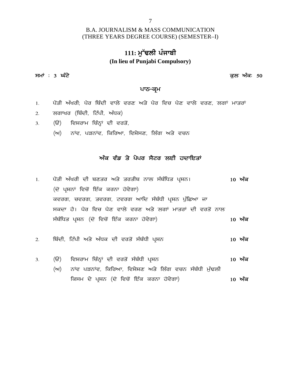### 7

### B.A. JOURNALISM & MASS COMMUNICATION (THREE YEARS DEGREE COURSE) (SEMESTER–I)

# 111: ਮੱਢਲੀ ਪੰਜਾਬੀ **(In lieu of Punjabi Compulsory)** (THKEE TEAKS DEGKEE COOKSE) (SEMESTEK-I)<br>111: ਮੁੱਢਲੀ ਪੰਜਾਬੀ<br>(In lieu of Punjabi Compulsory)<br>ਸਮਾਂ : 3 ਘੰਟੇ<br><sub>ਪਾਨ-ਕਮ</sub>

### ਪਾਠ<del>-</del>ਕ੍ਰਮ

- 1 ਸਮਾਂ : 3 **ਘੰਟੇ**<br>1. ਪੰਤੀ ਅੱਖਰੀ; ਪੈਰ ਬਿੰਦੀ ਵਾਲੇ ਵਰਣ ਅਤੇ ਪੈਰ ਵਿਚ ਪੈਣ ਵਾਲੇ ਵਰਣ, ਲਗਾਂ ਮਾਤਰਾਂ<br>2. ਲਗਾਖਰ (ਬਿੰਦੀ, ਟਿੱਪੀ, ਅੱਧਕ) **ਪਾਠ–ਕ੍ਰਮ**<br>1. ਪੈਂਤੀ ਅੱਖਰੀ; ਪੈਰ ਬਿੰਦੀ ਵਾਲੇ ਵਰਣ ਅਤੇ ਪੈਰ ਵਿਚ ਪੈਟ<br>2. ਲਗਾਖਰ (ਬਿੰਦੀ, ਟਿੱਪੀ, ਅੱਧਕ)<br>3. (ੳ) ਵਿਸ਼ਰਾਮ ਚਿੰਨ੍ਹਾਂ ਦੀ ਵਰਤੋਂ,<br>(ਅ) ਨਾਂਵ, ਪੜਨਾਂਵ, ਕਿਰਿਆ, ਵਿਸ਼ੇਸਣ, ਲਿੰਗ ਅਤੇ ਵ ਪੈਂਤੀ ਅੱਖਰੀ; ਪੈਰ ਬਿੰਦੀ ਵਾਲੇ ਵਰਣ ਅਤੇ ਪੈਰ ਵਿਚ ਪੈਣ ਵਾਲੇ ਵਰਣ, ਲਗਾਂ ਮਾਤਰਾਂ<br>ਲਗਾਖਰ (ਬਿੰਦੀ, ਟਿੱਪੀ, ਅੱਧਕ)<br>(ੳ) ਵਿਸ਼ਰਾਮ ਚਿੰਨ੍ਹਾਂ ਦੀ ਵਰਤੋਂ,<br>(ਅ) ਨਾਂਵ, ਪੜਨਾਂਵ, ਕਿਰਿਆ, ਵਿਸ਼ੇਸਣ, ਲਿੰਗ ਅਤੇ ਵਚਨ
- 2. ਲਗਾਖਰ (ਬਿੰਦੀ, ਟਿੱਪੀ, ਅੱਧਕ)
- -

# <sub>੍ਹਾਂ</sub> ਦੀ ਵਰਤੋਂ,<br><sub>ਤੋਂ,</sub> ਕਿਰਿਆ, ਵਿਸ਼ੇਸਣ, ਲਿੰਗ ਅਤੇ ਵਚਨ<br><mark>ਅੰਕ ਵੰਡ ਤੇ ਪੇਪਰ ਸੈਟਰ ਲਈ ਹਦਾਇਤਾਂ</mark>

- 1H g?\_sh n`yoh dh pDso ns/ soshp Bkb ; zp zfXs gqFB. **10 n ze** ਅੰਕ ਵੰਡ ਤੇ ਪੇਪਰ ਸੈਟਰ ਲਈ ਹਦਾਇਤਾਂ<br>ਪੈਂਤੀ ਅੱਖਰੀ ਦੀ ਬਣਤਰ ਅਤੇ ਤਰਤੀਬ ਨਾਲ ਸੰਬੰਧਿਤ ਪ੍ਰਸ਼ਨ।<br>(ਦੋ ਪ੍ਰਸ਼ਨਾਂ ਵਿਚੋਂ ਇੱਕ ਕਰਨਾ ਹੋਵੇਗਾ)<br>ਕਵਰਗ, ਚਵਰਗ, ਤਵਰਗ, ਟਵਰਗ ਆਦਿ ਸੰਬੰਧੀ ਪ੍ਰਸ਼ਨ ਪੁੱਛਿਆ ਜਾ ਪੈਂਤੀ ਅੱਖਰੀ ਦੀ ਬਣਤਰ ਅਤੇ ਤਰਤੀਬ ਨਾਲ ਸੰਬੰਧਿਤ ਪ੍ਰਸ਼ਨ।<br>(ਦੋ ਪ੍ਰਸ਼ਨਾਂ ਵਿਚੋਂ ਇੱਕ ਕਰਨਾ ਹੋਵੇਗਾ)<br>ਕਵਰਗ, ਚਵਰਗ, ਤਵਰਗ, ਟਵਰਗ ਆਦਿ ਸੰਬੰਧੀ ਪ੍ਰਸ਼ਨ ਪੁੱਛਿਆ ਜਾ<br>ਸਕਦਾ ਹੈ। ਪੈਰ ਵਿਚ ਪੈਣ ਵਾਲੇ ਵਰਣ ਅਤੇ ਲਗਾਂ ਮਾਤਰਾਂ ਦੀ ਵਰਤੋਂ ਨਾਲ ਸਕਦਾ ਹੈ। ਪੈਰ ਵਿਚ ਪੈਣ ਵਾਲੇ ਵਰਣ ਅਤੇ ਲਗਾਂ ਮਾਤਰਾਂ ਦੀ ਵਰਤੋਂ ਨਾਲ ਖਤਾ ਅਕਗ ਦਾ ਖੁਣਤਰ ਅਤੇ ਤਰਤਾਬ ਲੈਲ ਅਬਾਬਤ ਪ੍ਰਕਾਲਾ<br>(ਦੋ ਪ੍ਰਸ਼ਨਾਂ ਵਿਚੋਂ ਇੱਕ ਕਰਨਾ ਹੋਵੇਗਾ)<br>ਕਵਰਗ, ਚਵਰਗ, ਤਵਰਗ, ਟਵਰਗ ਆਦਿ ਸੰਬੰਧੀ ਪ੍ਰਸ਼ਨ ਪੁੱਛਿਆ ਜਾ<br>ਸਕਦਾ ਹੈ। ਪੈਰ ਵਿਚ ਪੈਣ ਵਾਲੇ ਵਰਣ ਅਤੇ ਲਗਾਂ ਮਾਤਰਾਂ ਦੀ ਵਰਤੋਂ ਨਾਲ<br>ਸੰਬੰਧਿਤ ਪ੍ਰਸ਼ਨ (ਦੋ ਵਿਚੋਂ ਇੱਕ 2H fpzdh, fN`gh ns/ n`Xe dh tos'\_ ; zp zXh g qFB **10 n ze**
- 
- ਸਥਾਵਤ <sub>ਸ਼ਾਲ</sub>ਾ (ਦ ਜਦਕਾ ਬਰਲਾ ਰਦਗਾ)<br>2. ਬਿੰਦੀ, ਟਿੱਪੀ ਅਤੇ ਅੱਧਕ ਦੀ ਵਰਤੋਂ ਸੰਬੰਧੀ ਪ੍ਰਸ਼ਨ<br>3. (ੳ) ਵਿਸ਼ਰਾਮ ਚਿੰਨ੍ਹਾਂ ਦੀ ਵਰਤੋਂ ਸੰਬੰਧੀ ਪ੍ਰਸ਼ਨ - - 10 **ਅੰਕ**<br>(ਅ) ਨਾਂਵ ਪੜਨਾਂਵ, ਕਿਰਿਆ, ਵਿਸ਼ੇਸ਼ਣ ਅਤੇ ਲਿੰਗ ਵਚਨ ਸੰਬੰਧੀ ਮੁੱਢਲੀ ਬਿੰਦੀ, ਟਿੱਪੀ ਅਤੇ ਅੱਧਕ ਦੀ ਵਰਤੋਂ ਸੰਬੰਧੀ ਪ੍ਰਸ਼ਨ<br>(ੳ) ਵਿਸ਼ਰਾਮ ਚਿੰਨ੍ਹਾਂ ਦੀ ਵਰਤੋਂ ਸੰਬੰਧੀ ਪ੍ਰਸ਼ਨ<br>(ਅ) ਨਾਂਵ ਪੜਨਾਂਵ, ਕਿਰਿਆ, ਵਿਸ਼ੇਸ਼ਣ ਅਤੇ ਲਿੰਗ ਵਚਨ ਸੰਬੰਧੀ ਮੁੱਢਲੀ<br>ਕਿਸਮ ਦੇ ਪ੍ਰਸ਼ਨ (ਦੋ ਵਿਚੋਂ ਇੱਕ ਕਰਨਾ ਹੋਵੇਗਾ) fe;w d / gqFB (d' ftu '\_ fJ`e eoBk j't/rk) **10 n ze**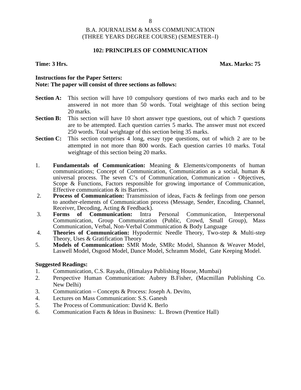### **102: PRINCIPLES OF COMMUNICATION**

### **Time: 3 Hrs. Max. Marks: 75**

### **Instructions for the Paper Setters: Note: The paper will consist of three sections as follows:**

- **Section A:** This section will have 10 compulsory questions of two marks each and to be answered in not more than 50 words. Total weightage of this section being 20 marks.
- **Section B:** This section will have 10 short answer type questions, out of which 7 questions are to be attempted. Each question carries 5 marks. The answer must not exceed 250 words. Total weightage of this section being 35 marks.
- **Section C:** This section comprises 4 long, essay type questions, out of which 2 are to be attempted in not more than 800 words. Each question carries 10 marks. Total weightage of this section being 20 marks.
- 1. **Fundamentals of Communication:** Meaning & Elements/components of human communications; Concept of Communication, Communication as a social, human & universal process. The seven C's of Communication, Communication - Objectives, Scope & Functions, Factors responsible for growing importance of Communication, Effective communication & its Barriers.
- 2. **Process of Communication:** Transmission of ideas, Facts & feelings from one person to another-elements of Communication process (Message, Sender, Encoding, Channel, Receiver, Decoding, Acting & Feedback).<br>**Forms of Communication:** Intra Personal
- 3. **Forms of Communication:** Intra Personal Communication, Interpersonal Communication, Group Communication (Public, Crowd, Small Group), Mass Communication, Verbal, Non-Verbal Communication & Body Language
- 4. **Theories of Communication:** Hypodermic Needle Theory, Two-step & Multi-step Theory, Uses & Gratification Theory
- 5. **Models of Communication:** SMR Mode, SMRc Model, Shannon & Weaver Model, Laswell Model, Osgood Model, Dance Model, Schramm Model, Gate Keeping Model.

- 1. Communication, C.S. Rayadu, (Himalaya Publishing House, Mumbai)
- 2. Perspective Human Communication: Aubrey B.Fisher, (Macmillan Publishing Co. New Delhi)
- 3. Communication Concepts & Process: Joseph A. Devito,
- 4. Lectures on Mass Communication: S.S. Ganesh
- 5. The Process of Communication: David K. Berlo
- 6. Communication Facts & Ideas in Business: L. Brown (Prentice Hall)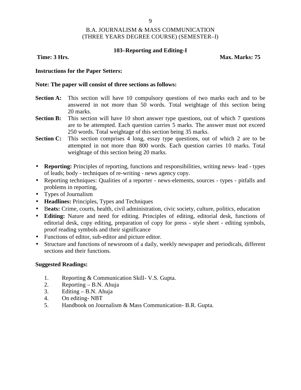### **103–Reporting and Editing-I**

**Time: 3 Hrs. Max. Marks: 75** 

### **Instructions for the Paper Setters:**

### **Note: The paper will consist of three sections as follows:**

- **Section A:** This section will have 10 compulsory questions of two marks each and to be answered in not more than 50 words. Total weightage of this section being 20 marks.
- **Section B:** This section will have 10 short answer type questions, out of which 7 questions are to be attempted. Each question carries 5 marks. The answer must not exceed 250 words. Total weightage of this section being 35 marks.
- **Section C:** This section comprises 4 long, essay type questions, out of which 2 are to be attempted in not more than 800 words. Each question carries 10 marks. Total weightage of this section being 20 marks.
- **Reporting:** Principles of reporting, functions and responsibilities, writing news- lead types of leads; body - techniques of re-writing - news agency copy.
- Reporting techniques: Qualities of a reporter news-elements, sources types pitfalls and problems in reporting,
- Types of Journalism
- **Headlines:** Principles, Types and Techniques
- B**eats:** Crime, courts, health, civil administration, civic society, culture, politics, education
- **Editing:** Nature and need for editing. Principles of editing, editorial desk, functions of editorial desk, copy editing, preparation of copy for press - style sheet - editing symbols, proof reading symbols and their significance
- Functions of editor, sub-editor and picture editor.
- Structure and functions of newsroom of a daily, weekly newspaper and periodicals, different sections and their functions.

- 1. Reporting & Communication Skill- V.S. Gupta.
- 2. Reporting B.N. Ahuja
- 3. Editing  $-$  B.N. Ahuja
- 4. On editing- NBT
- 5. Handbook on Journalism & Mass Communication- B.R. Gupta.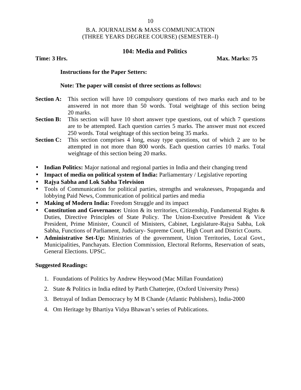# **104: Media and Politics**

**Time: 3 Hrs. Max. Marks: 75** 

### **Instructions for the Paper Setters:**

### **Note: The paper will consist of three sections as follows:**

- **Section A:** This section will have 10 compulsory questions of two marks each and to be answered in not more than 50 words. Total weightage of this section being 20 marks.
- **Section B:** This section will have 10 short answer type questions, out of which 7 questions are to be attempted. Each question carries 5 marks. The answer must not exceed 250 words. Total weightage of this section being 35 marks.
- **Section C:** This section comprises 4 long, essay type questions, out of which 2 are to be attempted in not more than 800 words. Each question carries 10 marks. Total weightage of this section being 20 marks.
- **Indian Politics:** Major national and regional parties in India and their changing trend
- **Impact of media on political system of India:** Parliamentary / Legislative reporting
- **Rajya Sabha and Lok Sabha Television**
- Tools of Communication for political parties, strengths and weaknesses, Propaganda and lobbying Paid News, Communication of political parties and media
- **Making of Modern India:** Freedom Struggle and its impact
- **Constitution and Governance:** Union & its territories, Citizenship, Fundamental Rights & Duties, Directive Principles of State Policy. The Union-Executive President & Vice President, Prime Minister, Council of Ministers, Cabinet, Legislature-Rajya Sabha, Lok Sabha, Functions of Parliament, Judiciary- Supreme Court, High Court and District Courts.
- **Administrative Set-Up:** Ministries of the government, Union Territories, Local Govt., Municipalities, Panchayats. Election Commission, Electoral Reforms, Reservation of seats, General Elections. UPSC.

- 1. Foundations of Politics by Andrew Heywood (Mac Millan Foundation)
- 2. State & Politics in India edited by Parth Chatterjee, (Oxford University Press)
- 3. Betrayal of Indian Democracy by M B Chande (Atlantic Publishers), India-2000
- 4. Om Heritage by Bhartiya Vidya Bhawan's series of Publications.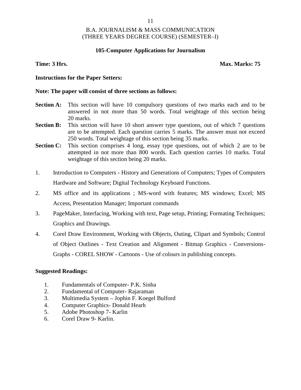### **105-Computer Applications for Journalism**

### **Time: 3 Hrs. Max. Marks: 75**

### **Instructions for the Paper Setters:**

### **Note: The paper will consist of three sections as follows:**

- **Section A:** This section will have 10 compulsory questions of two marks each and to be answered in not more than 50 words. Total weightage of this section being 20 marks.
- **Section B:** This section will have 10 short answer type questions, out of which 7 questions are to be attempted. Each question carries 5 marks. The answer must not exceed 250 words. Total weightage of this section being 35 marks.
- **Section C:** This section comprises 4 long, essay type questions, out of which 2 are to be attempted in not more than 800 words. Each question carries 10 marks. Total weightage of this section being 20 marks.
- 1. Introduction to Computers History and Generations of Computers; Types of Computers Hardware and Software; Digital Technology Keyboard Functions.
- 2. MS office and its applications ; MS-word with features; MS windows; Excel; MS Access, Presentation Manager; Important commands
- 3. PageMaker, Interfacing, Working with text, Page setup, Printing; Formating Techniques; Graphics and Drawings.
- 4. Corel Draw Environment, Working with Objects, Outing, Clipart and Symbols; Control of Object Outlines - Text Creation and Alignment - Bitmap Graphics - Conversions- Graphs - COREL SHOW - Cartoons - Use of colours in publishing concepts.

- 1. Fundamentals of Computer- P.K. Sinha
- 2. Fundamental of Computer- Rajaraman
- 3. Multimedia System Jophin F. Koegel Bulford
- 4. Computer Graphics- Donald Hearh
- 5. Adobe Photoshop 7- Karlin
- 6. Corel Draw 9- Karlin.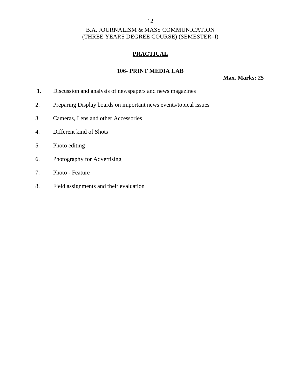# **PRACTICAL**

# **106- PRINT MEDIA LAB**

**Max. Marks: 25**

- 1. Discussion and analysis of newspapers and news magazines
- 2. Preparing Display boards on important news events/topical issues
- 3. Cameras, Lens and other Accessories
- 4. Different kind of Shots
- 5. Photo editing
- 6. Photography for Advertising
- 7. Photo Feature
- 8. Field assignments and their evaluation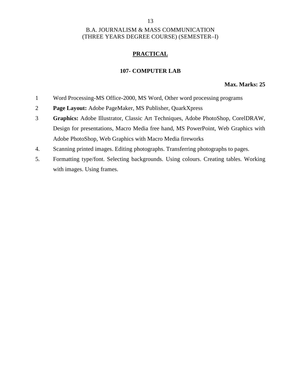# **PRACTICAL**

### **107- COMPUTER LAB**

### **Max. Marks: 25**

- 1 Word Processing-MS Office-2000, MS Word, Other word processing programs
- 2 **Page Layout:** Adobe PageMaker, MS Publisher, QuarkXpress
- 3 **Graphics:** Adobe Illustrator, Classic Art Techniques, Adobe PhotoShop, CorelDRAW, Design for presentations, Macro Media free hand, MS PowerPoint, Web Graphics with Adobe PhotoShop, Web Graphics with Macro Media fireworks
- 4. Scanning printed images. Editing photographs. Transferring photographs to pages.
- 5. Formatting type/font. Selecting backgrounds. Using colours. Creating tables. Working with images. Using frames.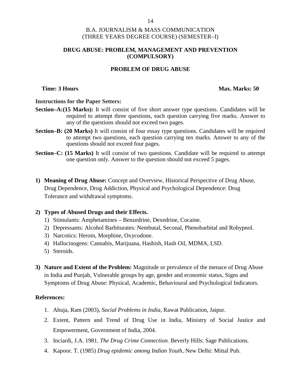### **DRUG ABUSE: PROBLEM, MANAGEMENT AND PREVENTION (COMPULSORY)**

# **PROBLEM OF DRUG ABUSE**

**Time: 3 Hours Max. Marks: 50** 

### **Instructions for the Paper Setters:**

- **Section–A:(15 Marks):** It will consist of five short answer type questions. Candidates will be required to attempt three questions, each question carrying five marks. Answer to any of the questions should not exceed two pages.
- **Section–B: (20 Marks)** It will consist of four essay type questions. Candidates will be required to attempt two questions, each question carrying ten marks. Answer to any of the questions should not exceed four pages.
- **Section–C: (15 Marks)** It will consist of two questions. Candidate will be required to attempt one question only. Answer to the question should not exceed 5 pages.
- **1) Meaning of Drug Abuse:** Concept and Overview, Historical Perspective of Drug Abuse, Drug Dependence, Drug Addiction, Physical and Psychological Dependence: Drug Tolerance and withdrawal symptoms.

### **2) Types of Abused Drugs and their Effects.**

- 1) Stimulants: Amphetamines Benzedrine, Dexedrine, Cocaine.
- 2) Depressants: Alcohol Barbiturates: Nembutal, Seconal, Phenobarbital and Rohypnol.
- 3) Narcotics: Heroin, Morphine, Oxycodone.
- 4) Hallucinogens: Cannabis, Marijuana, Hashish, Hash Oil, MDMA, LSD.
- 5) Steroids.
- **3) Nature and Extent of the Problem:** Magnitude or prevalence of the menace of Drug Abuse in India and Punjab, Vulnerable groups by age, gender and economic status, Signs and Symptoms of Drug Abuse: Physical, Academic, Behavioural and Psychological Indicators.

### **References:**

- 1. Ahuja, Ram (2003), *Social Problems in India*, Rawat Publication, Jaipur.
- 2. Extent, Pattern and Trend of Drug Use in India, Ministry of Social Justice and Empowerment, Government of India, 2004.
- 3. Inciardi, J.A. 1981. *The Drug Crime Connection.* Beverly Hills: Sage Publications.
- 4. Kapoor. T. (1985) *Drug epidemic among Indian Youth*, New Delhi: Mittal Pub.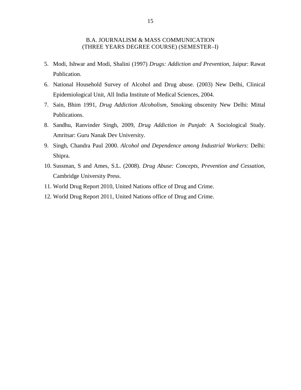- 5. Modi, Ishwar and Modi, Shalini (1997) *Drugs: Addiction and Prevention*, Jaipur: Rawat Publication.
- 6. National Household Survey of Alcohol and Drug abuse. (2003) New Delhi, Clinical Epidemiological Unit, All India Institute of Medical Sciences, 2004.
- 7. Sain, Bhim 1991, *Drug Addiction Alcoholism,* Smoking obscenity New Delhi: Mittal Publications.
- 8. Sandhu, Ranvinder Singh, 2009, *Drug Addiction in Punjab*: A Sociological Study. Amritsar: Guru Nanak Dev University.
- 9. Singh, Chandra Paul 2000. *Alcohol and Dependence among Industrial Workers*: Delhi: Shipra.
- 10. Sussman, S and Ames, S.L. (2008). *Drug Abuse: Concepts, Prevention and Cessation,* Cambridge University Press.
- 11. World Drug Report 2010, United Nations office of Drug and Crime.
- 12. World Drug Report 2011, United Nations office of Drug and Crime.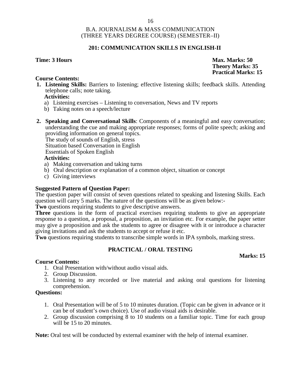### **201: COMMUNICATION SKILLS IN ENGLISH-II**

### **Time: 3 Hours Max. Marks: 50**

### **Course Contents:**

**1. Listening Skills:** Barriers to listening; effective listening skills; feedback skills. Attending telephone calls; note taking.

### **Activities:**

- a) Listening exercises Listening to conversation, News and TV reports
- b) Taking notes on a speech/lecture
- **2. Speaking and Conversational Skills**: Components of a meaningful and easy conversation; understanding the cue and making appropriate responses; forms of polite speech; asking and providing information on general topics.

The study of sounds of English, stress

Situation based Conversation in English

Essentials of Spoken English

### **Activities:**

- a) Making conversation and taking turns
- b) Oral description or explanation of a common object, situation or concept
- c) Giving interviews

### **Suggested Pattern of Question Paper:**

The question paper will consist of seven questions related to speaking and listening Skills. Each question will carry 5 marks. The nature of the questions will be as given below:-

**Two** questions requiring students to give descriptive answers.

**Three** questions in the form of practical exercises requiring students to give an appropriate response to a question, a proposal, a proposition, an invitation etc. For example, the paper setter may give a proposition and ask the students to agree or disagree with it or introduce a character giving invitations and ask the students to accept or refuse it etc.

**Two** questions requiring students to transcribe simple words in IPA symbols, marking stress.

### **PRACTICAL / ORAL TESTING**

### **Marks: 15**

### **Course Contents:**

- 1. Oral Presentation with/without audio visual aids.
- 2. Group Discussion.
- 3. Listening to any recorded or live material and asking oral questions for listening comprehension.

### **Questions:**

- 1. Oral Presentation will be of 5 to 10 minutes duration. (Topic can be given in advance or it can be of student's own choice). Use of audio visual aids is desirable.
- 2. Group discussion comprising 8 to 10 students on a familiar topic. Time for each group will be 15 to 20 minutes.

**Note:** Oral test will be conducted by external examiner with the help of internal examiner.

**Theory Marks: 35 Practical Marks: 15**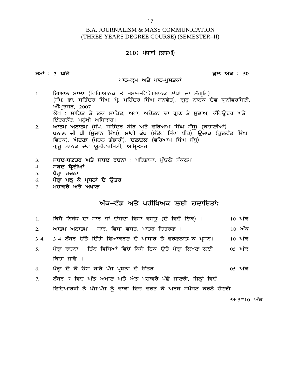# B.A. JOURNALISM & MASS COMMUNICATION (THREE YEARS DEGREE COURSE) (SEMESTER–II) 17<br>ISM & MASS COMMUNICATION<br>DEGREE COURSE) (SEMESTER–II)<br>210**: ਪੰ**ਜਾਬੀ (ਲਾਜ਼ਮੀ) **;wK L 3 x zN / e [b nze L 50**

# 210**:** ਪੰਜਾਬੀ (ਲਾਜ਼ਮੀ)<br>ਪਾਠ–ਕ੍ਰਮ ਅਤੇ ਪਾਠ–ਪੁਸਤਕਾਂ<br>ਤੇ ਸਮਾਜ–ਵਿਗਿਆਨਕ ਲੇਮਾਂ ਦਾ

- 1190 ਜਾਂ ਜਾਂ (ਲਾਜ਼ਾ)<br>ਸਮਾਂ : 3 **ਘੰਟੇ**<br>1. **ਗਿਆਨ ਮਾਲਾ** (ਵਿਗਿਆਨਕ ਤੇ ਸਮਾਜ-ਵਿਗਿਆਨਕ ਲੇਖਾਂ ਦਾ ਸੰਗ੍ਰਹਿ)<br>(ਸੰਪ. ਡਾ. ਸਤਿੰਦਰ ਸਿੰਘ, ਪ੍ਰੋ. ਮਹਿੰਦਰ ਸਿੰਘ ਬਨਵੈਤ), ਗੁਰੂ ਨਾਨਕ ਦੇਵ ਯੂਨੀਵਰਸਿਟੀ,<br>ਅੰਪਿਤਸਰ 2007 <mark>3 ਘੰਟੇ</mark><br>(; <mark>2) ਪਾਨ-ਕ੍ਰਮ ਅਤੇ ਪਾਠ-ਪੁਸਤਕਾਂ</mark><br>(ਸੰਘ ਡਾ. ਸਤਿੰਦਰ ਸਿੰਘ, ਪ੍ਰੋ. ਮਹਿੰਦਰ ਸਿੰਘ ਬਨਵੈਤ), ਗੁਰੂ ਨਾਨਕ ਦੇਵ ਯੂਨੀਵਰਸਿਟੀ,<br>ਅੰਮ੍ਰਿਤਸਰ, 2007<br><sup>ਐਮ੍ਰਿ</sup>ਤਸਰ, 2007<br><sup>ਐਮ</sup>਼ ਸਾਹਿਤ ਤੇ ਲੋਕ ਸਾਹਿਤ ਅੱਖਾਂ ਅਚੇਤਨ ਦਾ ਰਾਣ ਤੇ ਸ਼ੁਰਾਅ, ਕੰਮਿਊਟਰ ਅਤੇ 3 **ਘੰਟੇ**<br>**ਗਿਆਨ ਮਾਲਾ** (ਵਿਗਿਆਨ<br>(ਸੰਪ. ਡਾ. ਸਤਿੰਦਰ ਸਿੰਘ,<br>ਅੰਮ੍ਰਿਤਸਰ, 2007<br>ਲੇਖ : ਸਾਹਿਤ ਤੇ ਲੋਕ ਸ<br><sup>ਉੱ</sup>ਟਰਨੈੱਟ ਮਨੁੱਖੀ ਅਧਿਕਾਰ ਤਾ ਸਦ<br>ਗਿਆਨ <mark>ਮਾਲਾ</mark> (ਵਿਗਿਆਨਕ ਤੇ ਸਮਾਜ-ਵਿਗਿਆਨਕ ਲੇਖਾਂ ਦਾ ਸੰਗ੍ਰਹਿ)<br>(ਸੰਪ. ਡਾ. ਸਤਿੰਦਰ ਸਿੰਘ, ਪ੍ਰੋ. ਮਹਿੰਦਰ ਸਿੰਘ ਬਨਵੈਤ), ਗੁਰੂ ਨਾਨਕ ਦੇਵ ਯੂਨੀਵਰਸਿਟੀ,<br>ਅੰਮ੍ਰਿਤਸਰ, 2007<br>ਲੇਖ : ਸਾਹਿਤ ਤੇ ਲੋਕ ਸਾਹਿਤ, ਅੱਖਾਂ, ਅਚੇਤਨ ਦਾ ਗੁਣ ਤੇ ਸੁਭਾਅ, ਕੰਪਿਊਟਰ ਅਤੇ<br> **ਗਿਆਨ ਮਾਲਾ** (ਵਿਗਿਆਨਕ ਤੇ ਸਮਾਜ<br>(ਸੰਪ. ਡਾ. ਸਤਿੰਦਰ ਸਿੰਘ, ਪ੍ਰੋ. ਮਹਿੰਦਰ<br>ਅੰਮ੍ਰਿਤਸਰ, 2007<br>ਲੇਖ : ਸਾਹਿਤ ਤੇ ਲੋਕ ਸਾਹਿਤ, ਅੱਖਾਂ,<br>ਇੰਟਰਨੈੱਟ, ਮਨੁੱਖੀ ਅਧਿਕਾਰ।<br>**ਆਤਮ ਅਨਾਤਮ** (ਸੰਪ. ਸੁਹਿੰਦਰ ਬੀਰ <u>)</u><br>ਅ**ਨਾਣ ਦੀ ਸੀ** (ਸ਼ਹਾਨ ਸਿੰਘ) **ਸਾਂਈ** ? 1. **ਗਿਆਨ ਮਾਲਾ** (ਵਿਗਿਆਨਕ ਤੇ ਸਮਾਜ-ਵਿਗਿਆਨਕ ਲੇਖਾਂ ਦਾ ਸੰਗ੍ਰਹਿ)<br>(ਸੰਪ. ਡਾ. ਸਤਿੰਦਰ ਸਿੰਘ, ਪ੍ਰੋ. ਮਹਿੰਦਰ ਸਿੰਘ ਬਨਵੈਤ), ਗੁਰੂ ਨਾਨਕ ਦੇਵ ਯੂਨੀਵਰਸਿਨ<br>ਅੰਮ੍ਰਿਤਸਰ, 2007<br>ਲੇਖ : ਸਾਹਿਤ ਤੇ ਲੋਕ ਸਾਹਿਤ, ਅੱਖਾਂ, ਅਚੇਤਨ ਦਾ ਗੁਣ ਤੇ ਸੁਭਾਅ, ਕੰਪਿਊਟਰ ਅਤੇ<br>ਇੰਟਰਨ **ਰਸੰਦਰ ਸਾਂ ਨਾਲ ਦਾ ਸੰਗਾਸ ਦਾ ਸੰਗਾਲ ਕਿ ਕਿ ਕਿ ਪ੍ਰਿੰ**ਲ)<br>(ਸੰਪ. ਡਾ. ਸਤਿੰਦਰ ਸਿੰਘ, ਪ੍ਰੋ. ਮਹਿੰਦਰ ਸਿੰਘ ਬਨਵੈਤ), ਗੁਰੂ ਨਾਨਕ ਦੇਵ ਯੂਨੀਵਰਸਿਟੀ,<br>ਅੰਮ੍ਰਿਤਸਰ, 2007<br>ਲੇਖ : ਸਾਹਿਤ ਤੇ ਲੋਕ ਸਾਹਿਤ, ਅੱਖਾਂ, ਅਚੇਤਨ ਦਾ ਗੁਣ ਤੇ ਸੁਭਾਅ, ਕੰਪਿਊਟਰ ਅਤੇ<br>ਇੰਟਰਨੈੱਟ,
- ਾਜ: ਤਾਂ ਸਤਿੰਦਰ ਜਾਜ, ਜ੍ਰਾਂ ਸਤਿੰਦਰ ਜਾਜ ਕਲੰਦਤ), ਯੁੰਭੂ ਲਾਲਕ ਦਵ <sub>ਭੂ</sub>ਲਵਰਜ਼ਾਣ<br>ਅੰਮ੍ਰਿਤਸਰ, 2007<br>ਲੇਖ : ਸਾਹਿਤ ਤੇ ਲੋਕ ਸਾਹਿਤ, ਅੱਖਾਂ, ਅਚੇਤਨ ਦਾ ਗੁਣ ਤੇ ਸੁਭਾਅ, ਕੰਪਿਊਟਰ ਅਤੇ<br><mark>ਇੰਟਰਨੈੱਟ, ਮਨੁੱਖੀ ਅਧਿਕਾਰ।</mark><br>**ਘਠਾਣ ਦੀ ਧੀ** (ਸੁਜਾਨ ਸਿੰਘ), **ਸਾਂਞੀ ਕੰਧ** ਅੰਮ੍ਰਿਤਸਰ, 2007<br>ਲੇਖ : ਸਾਹਿਤ ਤੇ ਲੋਕ ਸਾਹਿਤ, ਅੱਖਾਂ, ਅਚੇਤਨ ਦਾ ਗੁਣ ਤੇ ਸੁਭਾਅ, ਕੰਪਿਊਟਰ ਅਤੇ<br>ਇੰਟਰਨੈੱਟ, ਮਨੁੱਖੀ ਅਧਿਕਾਰ।<br>**ਆਤਮ ਅਨਾਤਮ** (ਸੰਪ. ਸੁਹਿੰਦਰ ਬੀਰ ਅਤੇ ਵਰਿਆਮ ਸਿੰਘ ਸੰਧੂ) (ਕਹਾਣੀਆਂ)<br>**ਪਠਾਣ ਦੀ ਧੀ** (ਸੁਜਾਨ ਸਿੰਘ), **ਸਾਂਵੀ ਕੰਧ** (ਸੰਤੋਖ ਸਿੰਘ 2. **ਆਤਮ ਅਨਾਤਮ** (ਸੰਪ. ਸੁਹਿੰਦਰ ਬੀਰ ਅਤੇ ਵਰਿਆਮ ਸਿੰਘ ਸੰਧੂ) (ਕਹਾਣੀਆਂ)<br>ਪ**ਠਾਣ ਦੀ ਧੀ** (ਸੁਜਾਨ ਸਿੰਘ), **ਸਾਂਵੀ ਕੰਧ** (ਸੰਤੋਖ ਸਿੰਘ ਧੀਰ), **ਉਜਾੜ** (ਕੁਲਵੰਤ<br>ਵਿਰਕ), **ਘੋਟਣਾ** (ਮੋਹਨ ਭੰਡਾਰੀ), **ਦਲਦਲ** (ਵਰਿਆਮ ਸਿੰਘ ਸੰਧੂ)<br>ਗੁਰੂ ਨਾਨਕ ਦੇਵ ਯੂਨੀਵਰਸਿਟੀ, ਅੰਮ ਬੁੱਤ ਦਾ ਖਾ ਦੂਜਾ ਦਾ ਸਾ<br>ਵਿਰਕ), **ਘੋਟਣਾ** (ਮੋਹਨ ਭੰ<br>ਗੁਰੂ ਨਾਨਕ ਦੇਵ ਯੂਨੀਵਰਸ਼ਿ<br>3. **ਸ਼ਬਦ-ਬਣਤਰ ਅਤੇ ਸ਼ਬਦ**<br>4. **ਸ਼ਬਦ ਸ਼੍ਰੇਣੀਆਂ**<br>6. ਪੈਰ੍ਹਾ ਪੜ੍ਹ ਕੇ ਪ੍ਰਸ਼ਨਾਂ ਦੇ ਉੱ<br>6. ਪੈਰ੍ਹਾ ਪੜ੍ਹ ਕੇ ਪ੍ਰਸ਼ਨਾਂ ਦੇ ਉੱ ਵਿਰਕ), ਬਣੇਣ (ਮੇਰਨ ਭੰਡਾਗ), ਏਲੈਂਟਲ (ਵਾਰਸ<br>ਗੁਰੂ ਨਾਨਕ ਦੇਵ ਯੂਨੀਵਰਸਿਟੀ, ਅੰਮ੍ਰਿਤਸਰ।<br>3. **ਸ਼ਬਦ-ਬਣਤਰ ਅਤੇ ਸ਼ਬਦ ਰਚਨਾ** : ਪਰਿਭਾਸ਼ਾ, ਮੁੱਢ<br>6. **ਪੈਰ੍ਹਾ ਪੜ੍ਹ ਕੇ ਪ੍ਰਸ਼ਨਾਂ ਦੇ ਉੱਤਰ**<br>6. **ਪੈਰ੍ਹਾ ਪੜ੍ਹ ਕੇ ਪ੍ਰਸ਼ਨਾਂ ਦੇ ਉੱਤਰ**<br>7. **ਮੁਹਾਵਰੇ ਅਤੇ ਅਖਾਣ**
- ਪੁ<sub>ੰ</sub>ਤੂ ਲਾਲਕ ਦਵ ਯੂਨਾਵਰਜਾਦਾ, ਸ<br>3. **ਸ਼ਬਦ-ਬਣਤਰ ਅਤੇ ਸ਼ਬਦ ਰਚਨਾ<br>4. ਸ਼ਬਦ ਸ਼੍ਰੇਣੀਆਂ<br>6. ਪੈਰ੍ਹਾ ਪੜ੍ਹ ਕੇ ਪ੍ਰਸ਼ਨਾਂ ਦੇ ਉੱਤਰ<br>7. ਮੁਹਾਵਰੇ ਅਤੇ ਅਖਾਣ**
- 4. **ਸ਼ਬਦ ਸ਼ੇਣੀਆਂ**
- 
- 
- 

| 3.<br>4.<br>5.<br>6.<br>7. | <b>ਸ਼ਬਦ-ਬਣਤਰ ਅਤੇ ਸ਼ਬਦ ਰਚਨਾ</b> : ਪਰਿਭਾਸ਼ਾ, ਮੁੱਢਲੇ ਸੰਕਲਪ<br>ਸ਼ਬਦ ਸ਼੍ਰੇਣੀਆਂ<br>ਪੈਰ੍ਹਾ ਰਚਨਾ<br>ਪੈਰ੍ਹਾ ਪੜ੍ਹ ਕੇ ਪ੍ਰਸ਼ਨਾਂ ਦੇ ਉੱਤਰ<br>ਮੁਹਾਵਰੇ ਅਤੇ ਅਖਾਣ |              |
|----------------------------|-------------------------------------------------------------------------------------------------------------------------------------------------|--------------|
|                            | ਅੰਕ–ਵੰਡ ਅਤੇ ਪਰੀਖਿਅਕ ਲਈ ਹਦਾਇਤਾਂ:                                                                                                                 |              |
| 1.                         | ਕਿਸੇ ਨਿਬੰਧ ਦਾ ਸਾਰ ਜਾਂ ਉਸਦਾ ਵਿਸ਼ਾ ਵਸਤੂ (ਦੋ ਵਿਚੋਂ ਇਕ) ।                                                                                           | 10 ਅੰਕ       |
| 2.                         | <b>ਆਤਮ ਅਨਾਤਮ</b> : ਸਾਰ, ਵਿਸ਼ਾ ਵਸਤੂ, ਪਾਤਰ ਚਿਤਰਣ ।                                                                                                | 10 ਅੰਕ       |
| $3 - 4$ .                  | 3–4 ਨੰਬਰ ਉੱਤੇ ਦਿੱਤੀ ਵਿਆਕਰਣ ਦੇ ਆਧਾਰ ਤੇ ਵਰਣਨਾਤਮਕ ਪ੍ਰਸ਼ਨ।                                                                                          | 10 ਅੰਕ       |
| 5.                         | ਪੈਰ੍ਹਾ ਰਚਨਾ : ਤਿੰਨ ਵਿਸ਼ਿਆਂ ਵਿਚੋਂ ਕਿਸੇ ਇਕ ਉਤੇ ਪੈਰ੍ਹਾ ਲਿਖਣ ਲਈ                                                                                     | 05 ਅੰਕ       |
|                            | ਕਿਹਾ ਜਾਵੇ ।                                                                                                                                     |              |
| 6.                         | ਪੈਰ੍ਹਾ ਦੇ ਕੇ ਉਸ ਬਾਰੇ ਪੰਜ ਪ੍ਰਸ਼ਨਾਂ ਦੇ ਉੱਤਰ                                                                                                       | 05 ਅੰਕ       |
| 7.                         | ਨੰਬਰ 7 ਵਿਚ ਅੱਠ ਅਖਾਣ ਅਤੇ ਅੱਠ ਮੁਹਾਵਰੇ ਪੁੱਛੇ ਜਾਣਗੇ, ਜਿਨ੍ਹਾਂ ਵਿਚੋਂ                                                                                  |              |
|                            | ਵਿਦਿਆਰਥੀ ਨੇ ਪੰਜ-ਪੰਜ ਨੂੰ ਵਾਕਾਂ ਵਿਚ ਵਰਤ ਕੇ ਅਰਥ ਸਪੱਸ਼ਟ ਕਰਨੇ ਹੋਣਗੇ।                                                                                 |              |
|                            |                                                                                                                                                 | $5+5=10$ ਅੰਕ |
|                            |                                                                                                                                                 |              |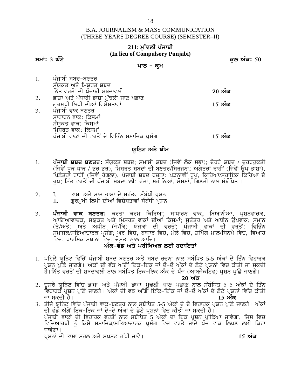### 211: ਮੱਢਲੀ ਪੰਜਾਬੀ **(In lieu of Compulsory Punjabi)**

### **smatics of the set of the set of the set of the set of the set of the set of the set of the set of the set of th**

### **ਪਾਠ – ਕੁਮ**

<u>1. ਪੰਜਾਬੀ ਸ਼ਬਦ-ਬਣਤਰ</u> ਸੰਯਕਤ ਅਤੇ ਮਿਸ਼ਰਤ ਸ਼ਬਦ in`q vrqoN dI pMjwbI SbdwvlI **20 AMk** 2. ਭਾਸ਼ਾ ਅਤੇ ਪੰਜਾਬੀ ਭਾਸ਼ਾ ਮੱਢਲੀ ਜਾਣ ਪਛਾਣ gurmuKI ilpI dIAW ivSySqwvW **15 AMk** 3. ਪੰਜਾਬੀ ਵਾਕ ਬਣਤਰ ਸਾਧਾਰਨ ਵਾਕ: ਕਿਸਮਾਂ ਸੰਯਕਤ ਵਾਕ: ਕਿਸਮਾਂ ਸਿੰਸ਼ਰਤ ਵਾਕ: ਕਿਸਮਾ<u>ਂ</u> ਪੰਜਾਬੀ ਵਾਕਾਂ ਦੀ ਵਰਤੋਂ ਦੇ ਵਿਭਿੰਨ ਸਮਾਜਿਕ ਪੁਸੰਗ **ਤਿਆ ਕਿ ਵਿੱਚ ਸ਼ਹਿਰ ਅੰਕ** 

# ਯੁਨਿਟ ਅਤੇ ਥੀਮ

- 1. **ਪੰਜਾਬੀ ਸ਼ਬਦ ਬਣਤਰ:** ਸੰਯੁਕਤ ਸ਼ਬਦ; ਸਮਾਸੀ ਸ਼ਬਦ (ਜਿਵੇਂ ਲੋਕ ਸਭਾ); ਦੋਹਰੇ ਸ਼ਬਦ / ਦਹਰਰਕਤੀ (ਜਿਵੇਂ ਧੜ ਧਾੜ / ਭਰ ਭਰ), ਮਿਸ਼ਰਤ ਸ਼ਬਦਾਂ ਦੀ ਬਣਤਰ/ਸਿਰਜਨਾ; ਅਗੇਤਰਾਂ ਰਾਹੀਂ (ਜਿਵੇਂ ਉਪ ਭਾਸ਼ਾ), ਪਿਛੇਤਰਾਂ ਰਾਹੀਂ (ਜਿਵੇਂ ਰੰਗਲਾ), ਪੰਜਾਬੀ ਸ਼ਬਦ ਰਚਨਾ: ਪੜਨਾਵੀਂ ਰੂਪ, ਕਿਰਿਆ/ਸਹਾਇਕ ਕਿਰਿਆ ਦੇ ਰਪ; ਨਿੱਤ ਵਰਤੋਂ ਦੀ ਪੰਜਾਬੀ ਸ਼ਬਦਾਵਲੀ: ਰੱਤਾਂ, ਮਹੀਨਿਆਂ, ਮੌਸਮਾਂ, ਗਿਣਤੀ ਨਾਲ ਸੰਬੰਧਿਤ ।
- 2. I. ਭਾਸ਼ਾ ਅਤੇ ਮਾਤ ਭਾਸ਼ਾ ਦੇ ਮਹੱਤਵ ਸੰਬੰਧੀ ਪ੍ਰਸ਼ਨ<br>II. ਗਰਮਖੀ ਲਿਪੀ ਦੀਆਂ ਵਿਸ਼ੇਸ਼ਤਾਵਾਂ ਸੰਬੰਧੀ ਪਸ਼ਨ ਗਰਮਖੀ ਲਿਪੀ ਦੀਆਂ ਵਿਸ਼ੇਸ਼ਤਾਵਾਂ ਸੰਬੰਧੀ ਪੁਸ਼ਨ
- 3. **ਪੰਜਾਬੀ ਵਾਕ ਬਣਤਰ:** ਕਰਤਾ ਕਰਮ ਕਿਰਿਆ; ਸਾਧਾਰਨ ਵਾਕ, ਬਿਆਨੀਆ, ਪੁਸ਼ਨਵਾਚਕ, <u>ਆਗਿਆਵਾਚਕ, ਸੰਯਕਤ ਅਤੇ ਮਿਸਰਤ ਵਾਕਾਂ ਦੀਆਂ ਕਿਸਮਾਂ; ਸਤੰਤਰ ਅਤੇ ਅਧੀਨ ਉਪਵਾਕ; ਸਮਾਨ</u> (ਤੇ/ਅਤੇ) ਅਤੇ ਅਧੀਨ (ਜੋ/ਕਿ) ਯੋਜਕਾਂ ਦੀ ਵਰਤੋਂ; ਪੰਜਾਬੀ ਵਾਕਾਂ ਦੀ ਵਰਤੋਂ: ਵਿਭਿੰਨ ਸੁਮਾਜਕ/ਸਭਿਆਚਾਰਕ ਪ੍ਰਸੰਗ; ਘਰ ਵਿਚ, ਬਾਜ਼ਾਰ ਵਿਚ, ਮੇਲੇ ਵਿਚ, ਸ਼ੋਪਿੰਗ ਮਾਲ/ਸਿਨਮੇ ਵਿਚ, ਵਿਆਹ ਵਿਚ, ਧਾਰਮਿਕ ਸਥਾਨਾਂ ਵਿਚ, ਦੋਸਤਾਂ ਨਾਲ ਆਦਿ।

### <u> ਅੰਕ-ਵੰਡ ਅਤੇ ਪਰੀਖਿਅਕ ਲਈ ਹਦਾਇਤਾਂ</u>

1. ਪਹਿਲੇ ਯੁਨਿਟ ਵਿੱਚੋਂ ਪੰਜਾਬੀ ਸ਼ਬਦ ਬਣਤਰ ਅਤੇ ਸ਼ਬਦ ਰਚਨਾ ਨਾਲ ਸਬੰਧਿਤ 5-5 ਅੰਕਾਂ ਦੇ ਤਿੰਨ ਵਿਹਾਰਕ ਪੁਸ਼ਨ ਪੁੱਛੇ ਜਾਣਗੇ। ਅੰਕਾਂ ਦੀ ਵੰਡ ਅੱਗੋਂ ਇਕ-ਇਕ ਜਾਂ ਦੋ-ਦੋ ਅੰਕਾਂ ਦੇ ਛੋਟੇ ਪੁਸ਼ਨਾਂ ਵਿਚ ਕੀਤੀ ਜਾ ਸਕਦੀ ਹੈ।ਨਿੱਤ ਵਰਤੋਂ ਦੀ ਸ਼ਬਦਾਵਲੀ ਨਾਲ ਸਬੰਧਿਤ ਇਕ-ਇਕ ਅੰਕ ਦੇ ਪੰਜ (ਆਬਜੈਕਟਿਵ) ਪੁਸ਼ਨ ਪੱਛੇ ਜਾਣਗੇ।

- 2**0 ਅੰਕ**<br>2. ਦਸਰੇ ਯਨਿਟ ਵਿੱਚ ਭਾਸ਼ਾ ਅਤੇ ਪੰਜਾਬੀ ਭਾਸ਼ਾ ਮਢਲੀ ਜਾਣ ਪਛਾਣ ਨਾਲ ਸੰਬੰਧਿਤ 5-5 ਅੰਕਾਂ ਦੇ ਤਿੰਨ ਵਿੱਚ, ਖਾਂਗਮਕ ਸਥਾਨਾਂ ਵਿੱਚ, ਦਸਤਾ ਨਾਲ ਸਾਵਿ ਜ<br>2. ਪਹਿਲੇ ਯੂਨਿਟ ਵਿੱਚੋਂ ਪੰਜਾਬੀ ਸ਼ਬਦ ਬਣਤਰ ਅਤੇ ਸ਼ਬਦ ਰਚਨਾ ਨਾਲ ਸਬੰਧਿਤ 5-5 ਅੰਕਾਂ ਦੇ ਤਿੰਨ ਵਿਹਾਰਕ<br>ਪੁਸ਼ਨ ਪੁੱਛੇ ਜਾਣਗੇ ਮਅੰਕਾਂ ਦੀ ਵੰਡ ਅੱਗੋਂ ਇਕ-ਇਕ ਜਾਂ ਦੋ-ਦੋ ਅੰਕਾਂ ਦੇ ਛੋਟੇ ਪੁਸ਼ਨਾਂ ਵਿਚ ਕੀਤੀ ਜਾ ਵਿਹਾਰਕ ਪ੍ਰਸ਼ਨ ਪੁੱਛੇ ਜਾਣਗੇ। ਅੰਕਾਂ ਦੀ ਵੱਡ ਅੱਗੋਂ ਇੱਕ-ਇੱਕ ਜਾਂ ਦੋ-ਦੋ ਅੱਕਾਂ ਦੇ ਛੋਟੇ ਪ੍ਰਸ਼ਨਾਂ ਵਿੱਚ ਕੀਤੀ jw skdI hY[ **15 AMk**
- 3. ਤੀਜੇ ਯੂਨਿਟ ਵਿੱਚ ਪੰਜਾਬੀ ਵਾਕ-ਬਣਤਰ ਨਾਲ ਸਬੰਧਿਤ 5-5 ਅੰਕਾਂ ਦੇ ਦੋ ਵਿਹਾਰਕ ਪ੍ਰਸ਼ਨ ਪੁੱਛੇ ਜਾਣਗੇ। ਅੰਕਾਂ ਦੀ ਵੰਡੋਂ ਅੱਗੋਂ ਇਕ-ਇਕ ਜਾਂ ਦੋ-ਦੋ ਅੰਕਾਂ ਦੇ ਛੋਟੇ ਪਸ਼ਨਾਂ ਵਿਚ ਕੀਤੀ ਜਾ ਸਕਦੀ ਹੈ।<sup>\*</sup> ਪੰਜਾਬੀ ਵਾਕਾਂ ਦੀ ਵਿਹਾਰਕ ਵਰਤੋਂ ਨਾਲ ਸਬੰਧਿਤ<sup>ੇ</sup>5 ਅੰਕਾਂ ਦਾ ਇਕ ਪ੍ਰਸ਼ਨ ਪੁੱਛਿਆ ਜਾਵੇਗਾ, ਜਿਸ ਵਿਚ ਵਿਦਿਆਰਥੀ ਨੰ ਕਿਸੇ ਸਮਾਜਿਕ/ਸਭਿਆਚਾਰਕ ਪਸੰਗ ਵਿਚ ਵਰਤੇ ਜਾਂਦੇ ਪੰਜ ਵਾਕ ਲਿਖਣ ਲਈ ਕਿਹਾ ਜਾਵੇਗਾ। pRSnW dI BwSw srl Aqy spSt r~KI jwvy[ **15 AMk**

18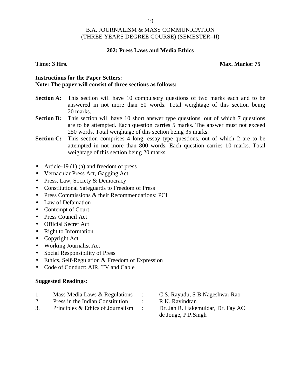### **202: Press Laws and Media Ethics**

### **Time: 3 Hrs. Max. Marks: 75**

### **Instructions for the Paper Setters: Note: The paper will consist of three sections as follows:**

- **Section A:** This section will have 10 compulsory questions of two marks each and to be answered in not more than 50 words. Total weightage of this section being 20 marks.
- **Section B:** This section will have 10 short answer type questions, out of which 7 questions are to be attempted. Each question carries 5 marks. The answer must not exceed 250 words. Total weightage of this section being 35 marks.
- **Section C:** This section comprises 4 long, essay type questions, out of which 2 are to be attempted in not more than 800 words. Each question carries 10 marks. Total weightage of this section being 20 marks.
- Article-19 (1) (a) and freedom of press
- Vernacular Press Act, Gagging Act
- Press, Law, Society & Democracy
- Constitutional Safeguards to Freedom of Press
- Press Commissions & their Recommendations: PCI
- Law of Defamation
- Contempt of Court
- Press Council Act
- Official Secret Act
- Right to Information
- Copyright Act
- Working Journalist Act
- Social Responsibility of Press
- Ethics, Self-Regulation & Freedom of Expression
- Code of Conduct: AIR, TV and Cable

- 1. Mass Media Laws & Regulations : C.S. Rayudu, S B Nageshwar Rao
- 2. Press in the Indian Constitution : R.K. Ravindran
- 3. Principles & Ethics of Journalism : Dr. Jan R. Hakemuldar, Dr. Fay AC
- 
- 
- de Jouge, P.P.Singh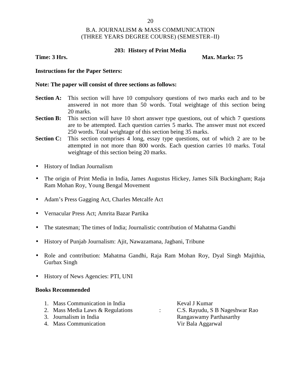### **203: History of Print Media**

**Time: 3 Hrs. Max. Marks: 75** 

### **Instructions for the Paper Setters:**

### **Note: The paper will consist of three sections as follows:**

- **Section A:** This section will have 10 compulsory questions of two marks each and to be answered in not more than 50 words. Total weightage of this section being 20 marks.
- **Section B:** This section will have 10 short answer type questions, out of which 7 questions are to be attempted. Each question carries 5 marks. The answer must not exceed 250 words. Total weightage of this section being 35 marks.
- **Section C:** This section comprises 4 long, essay type questions, out of which 2 are to be attempted in not more than 800 words. Each question carries 10 marks. Total weightage of this section being 20 marks.
- History of Indian Journalism
- The origin of Print Media in India, James Augustus Hickey, James Silk Buckingham; Raja Ram Mohan Roy, Young Bengal Movement
- Adam's Press Gagging Act, Charles Metcalfe Act
- Vernacular Press Act; Amrita Bazar Partika
- The statesman; The times of India; Journalistic contribution of Mahatma Gandhi
- History of Punjab Journalism: Ajit, Nawazamana, Jagbani, Tribune
- Role and contribution: Mahatma Gandhi, Raja Ram Mohan Roy, Dyal Singh Majithia, Gurbax Singh
- History of News Agencies: PTI, UNI

### **Books Recommended**

| 1. Mass Communication in India   | Keval J Kumar                  |
|----------------------------------|--------------------------------|
| 2. Mass Media Laws & Regulations | C.S. Rayudu, S B Nageshwar Rao |
| 3. Journalism in India           | Rangaswamy Parthasarthy        |
| 4. Mass Communication            | Vir Bala Aggarwal              |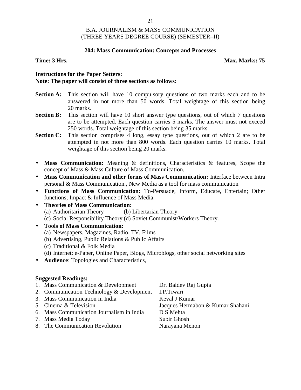### **204: Mass Communication: Concepts and Processes**

**Time: 3 Hrs. Max. Marks: 75**

### **Instructions for the Paper Setters: Note: The paper will consist of three sections as follows:**

- **Section A:** This section will have 10 compulsory questions of two marks each and to be answered in not more than 50 words. Total weightage of this section being 20 marks.
- **Section B:** This section will have 10 short answer type questions, out of which 7 questions are to be attempted. Each question carries 5 marks. The answer must not exceed 250 words. Total weightage of this section being 35 marks.
- **Section C:** This section comprises 4 long, essay type questions, out of which 2 are to be attempted in not more than 800 words. Each question carries 10 marks. Total weightage of this section being 20 marks.
- **Mass Communication:** Meaning & definitions, Characteristics & features, Scope the concept of Mass & Mass Culture of Mass Communication.
- **Mass Communication and other forms of Mass Communication:** Interface between Intra personal & Mass Communication.**,** New Media as a tool for mass communication
- **Functions of Mass Communication:** To-Persuade, Inform, Educate, Entertain; Other functions; Impact & Influence of Mass Media.
- **Theories of Mass Communication:**
	- (a) Authoritarian Theory (b) Libertarian Theory
	- (c) Social Responsibility Theory (d) Soviet Communist/Workers Theory.
- **Tools of Mass Communication:**
	- (a) Newspapers, Magazines, Radio, TV, Films
	- (b) Advertising, Public Relations & Public Affairs
	- (c) Traditional & Folk Media
	- (d) Internet: e-Paper, Online Paper, Blogs, Microblogs, other social networking sites
- **Audience**: Topologies and Characteristics,

### **Suggested Readings:**

- 1. Mass Communication & Development Dr. Baldev Raj Gupta
- 2. Communication Technology & Development I.P.Tiwari
- 3. Mass Communication in India Keval J Kumar
- 
- 6. Mass Communication Journalism in India D S Mehta
- 7. Mass Media Today Subir Ghosh
- 8. The Communication Revolution Narayana Menon

5. Cinema & Television Jacques Hermabon & Kumar Shahani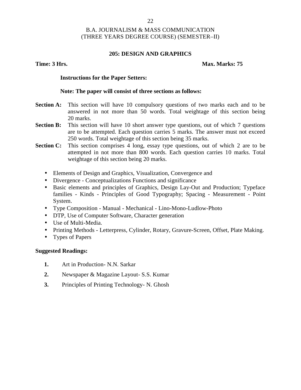### **205: DESIGN AND GRAPHICS**

### **Time: 3 Hrs. Max. Marks: 75**

### **Instructions for the Paper Setters:**

### **Note: The paper will consist of three sections as follows:**

- **Section A:** This section will have 10 compulsory questions of two marks each and to be answered in not more than 50 words. Total weightage of this section being 20 marks.
- **Section B:** This section will have 10 short answer type questions, out of which 7 questions are to be attempted. Each question carries 5 marks. The answer must not exceed 250 words. Total weightage of this section being 35 marks.
- **Section C:** This section comprises 4 long, essay type questions, out of which 2 are to be attempted in not more than 800 words. Each question carries 10 marks. Total weightage of this section being 20 marks.
	- Elements of Design and Graphics, Visualization, Convergence and
	- Divergence Conceptualizations Functions and significance
	- Basic elements and principles of Graphics, Design Lay-Out and Production; Typeface families - Kinds - Principles of Good Typography; Spacing - Measurement - Point System.
	- Type Composition Manual Mechanical Lino-Mono-Ludlow-Photo
	- DTP, Use of Computer Software, Character generation
	- Use of Multi-Media.
	- Printing Methods Letterpress, Cylinder, Rotary, Gravure-Screen, Offset, Plate Making.
	- Types of Papers

- **1.** Art in Production- N.N. Sarkar
- **2.** Newspaper & Magazine Layout- S.S. Kumar
- **3.** Principles of Printing Technology- N. Ghosh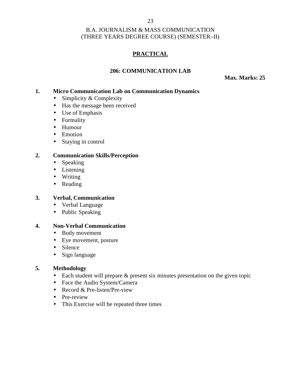# **PRACTICAL**

# **206: COMMUNICATION LAB**

**Max. Marks: 25**

### **1. Micro Communication Lab on Communication Dynamics**

- Simplicity  $&$  Complexity
- Has the message been received
- Use of Emphasis
- Formality
- Humour
- Emotion
- Staying in control

### **2. Communication Skills/Perception**

- Speaking
- $\bullet$  Listening
- Writing
- Reading

### **3. Verbal, Communication**

- Verbal Language
- Public Speaking

### **4. Non-Verbal Communication**

- Body movement
- Eye movement, posture
- Silence
- Sign language

### **5. Methodology**

- Each student will prepare & present six minutes presentation on the given topic
- Face the Audio System/Camera
- Record & Pre-listen/Pre-view
- Pre-review
- This Exercise will be repeated three times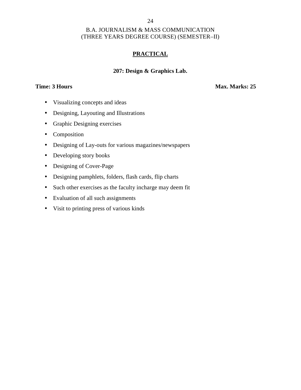# **PRACTICAL**

### **207: Design & Graphics Lab.**

**Time: 3 Hours Max. Marks: 25** 

- Visualizing concepts and ideas
- Designing, Layouting and Illustrations
- Graphic Designing exercises
- Composition
- Designing of Lay-outs for various magazines/newspapers
- Developing story books
- Designing of Cover-Page
- Designing pamphlets, folders, flash cards, flip charts
- Such other exercises as the faculty incharge may deem fit
- Evaluation of all such assignments
- Visit to printing press of various kinds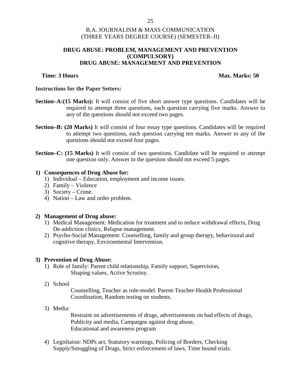### **DRUG ABUSE: PROBLEM, MANAGEMENT AND PREVENTION (COMPULSORY) DRUG ABUSE: MANAGEMENT AND PREVENTION**

### **Time: 3 Hours Max. Marks: 50**

### **Instructions for the Paper Setters:**

- **Section–A:(15 Marks):** It will consist of five short answer type questions. Candidates will be required to attempt three questions, each question carrying five marks. Answer to any of the questions should not exceed two pages.
- **Section–B: (20 Marks)** It will consist of four essay type questions. Candidates will be required to attempt two questions, each question carrying ten marks. Answer to any of the questions should not exceed four pages.
- **Section–C: (15 Marks)** It will consist of two questions. Candidate will be required to attempt one question only. Answer to the question should not exceed 5 pages.

### **1) Consequences of Drug Abuse for:**

- 1) Individual Education, employment and income issues.
- 2) Family Violence
- 3) Society Crime.
- 4) Nation Law and order problem.

### **2) Management of Drug abuse:**

- 1) Medical Management: Medication for treatment and to reduce withdrawal effects, Drug De-addiction clinics, Relapse management.
- 2) Psycho-Social Management: Counselling, family and group therapy, behavioural and cognitive therapy, Environmental Intervention.

### **3) Prevention of Drug Abuse:**

- 1) Role of family: Parent child relationship, Family support, Supervision, Shaping values, Active Scrutiny.
- 2) School

Counselling, Teacher as role-model. Parent-Teacher-Health Professional Coordination, Random testing on students.

3) Media:

Restraint on advertisements of drugs, advertisements on bad effects of drugs, Publicity and media, Campaigns against drug abuse, Educational and awareness program

4) Legisltaion: NDPs act, Statutory warnings, Policing of Borders, Checking Supply/Smuggling of Drugs, Strict enforcement of laws, Time bound trials.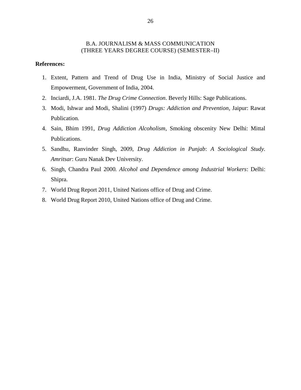### **References:**

- 1. Extent, Pattern and Trend of Drug Use in India, Ministry of Social Justice and Empowerment, Government of India, 2004.
- 2. Inciardi, J.A. 1981. *The Drug Crime Connection*. Beverly Hills: Sage Publications.
- 3. Modi, Ishwar and Modi, Shalini (1997) *Drugs: Addiction and Prevention*, Jaipur: Rawat Publication.
- 4. Sain, Bhim 1991, *Drug Addiction Alcoholism*, Smoking obscenity New Delhi: Mittal Publications.
- 5. Sandhu, Ranvinder Singh, 2009, *Drug Addiction in Punjab*: *A Sociological Study. Amritsar*: Guru Nanak Dev University.
- 6. Singh, Chandra Paul 2000*. Alcohol and Dependence among Industrial Workers*: Delhi: Shipra.
- 7. World Drug Report 2011, United Nations office of Drug and Crime.
- 8. World Drug Report 2010, United Nations office of Drug and Crime.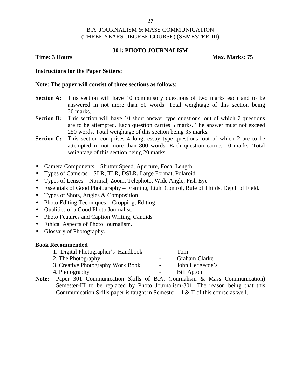### **301: PHOTO JOURNALISM**

**Time: 3 Hours Max. Marks: 75** 

### **Instructions for the Paper Setters:**

### **Note: The paper will consist of three sections as follows:**

- **Section A:** This section will have 10 compulsory questions of two marks each and to be answered in not more than 50 words. Total weightage of this section being 20 marks.
- **Section B:** This section will have 10 short answer type questions, out of which 7 questions are to be attempted. Each question carries 5 marks. The answer must not exceed 250 words. Total weightage of this section being 35 marks.
- **Section C:** This section comprises 4 long, essay type questions, out of which 2 are to be attempted in not more than 800 words. Each question carries 10 marks. Total weightage of this section being 20 marks.
- Camera Components Shutter Speed, Aperture, Focal Length.
- Types of Cameras SLR, TLR, DSLR, Large Format, Polaroid.
- Types of Lenses Normal, Zoom, Telephoto, Wide Angle, Fish Eye
- Essentials of Good Photography Framing, Light Control, Rule of Thirds, Depth of Field.
- Types of Shots, Angles & Composition.
- $\bullet$  Photo Editing Techniques Cropping, Editing
- Oualities of a Good Photo Journalist.
- Photo Features and Caption Writing, Candids
- Ethical Aspects of Photo Journalism.
- Glossary of Photography.

### **Book Recommended**

| 1. Digital Photographer's Handbook | $\overline{\phantom{0}}$ | Tom               |
|------------------------------------|--------------------------|-------------------|
| 2. The Photography                 | $\overline{\phantom{a}}$ | Graham Clarke     |
| 3. Creative Photography Work Book  | $\overline{\phantom{0}}$ | John Hedgecoe's   |
| 4. Photography                     | $\overline{\phantom{a}}$ | <b>Bill Apton</b> |
|                                    |                          |                   |

**Note:** Paper 301 Communication Skills of B.A. (Journalism & Mass Communication) Semester-III to be replaced by Photo Journalism-301. The reason being that this Communication Skills paper is taught in Semester  $- I & II$  of this course as well.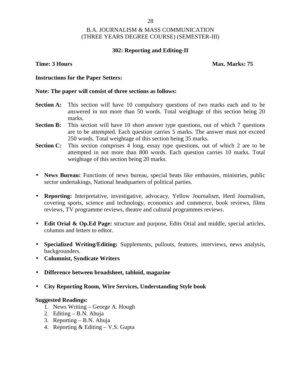### **302: Reporting and Editing-II**

### **Time: 3 Hours Max. Marks: 75**

### **Instructions for the Paper Setters:**

### **Note: The paper will consist of three sections as follows:**

- **Section A:** This section will have 10 compulsory questions of two marks each and to be answered in not more than 50 words. Total weightage of this section being 20 marks.
- **Section B:** This section will have 10 short answer type questions, out of which 7 questions are to be attempted. Each question carries 5 marks. The answer must not exceed 250 words. Total weightage of this section being 35 marks.
- Section C: This section comprises 4 long, essay type questions, out of which 2 are to be attempted in not more than 800 words. Each question carries 10 marks. Total weightage of this section being 20 marks.
- **News Bureau:** Functions of news bureau, special beats like embassies, ministries, public sector undertakings, National headquarters of political parties.
- **Reporting:** Interpretative, investigative, advocacy, Yellow Journalism, Herd Journalism, covering sports, science and technology, economics and commerce, book reviews, films reviews, TV programme reviews, theatre and cultural programmes reviews.
- **Edit Orial & Op.Ed Page:** structure and purpose, Edits Orial and middle, special articles, columns and letters to editor.
- **Specialized Writing/Editing:** Supplements, pullouts, features, interviews, news analysis, backgrounders.
- **Columnist, Syndicate Writers**
- **Difference between broadsheet, tabloid, magazine**
- **City Reporting Room, Wire Services, Understanding Style book**

- 1. News Writing George A. Hough
- 2. Editing B.N. Ahuja
- 3. Reporting B.N. Ahuja
- 4. Reporting  $&$  Editing  $-$  V.S. Gupta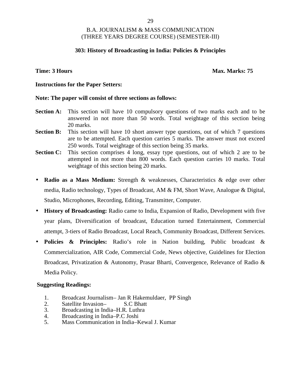### **303: History of Broadcasting in India: Policies & Principles**

### **Time: 3 Hours Max. Marks: 75**

### **Instructions for the Paper Setters:**

### **Note: The paper will consist of three sections as follows:**

- **Section A:** This section will have 10 compulsory questions of two marks each and to be answered in not more than 50 words. Total weightage of this section being 20 marks.
- **Section B:** This section will have 10 short answer type questions, out of which 7 questions are to be attempted. Each question carries 5 marks. The answer must not exceed 250 words. Total weightage of this section being 35 marks.
- **Section C:** This section comprises 4 long, essay type questions, out of which 2 are to be attempted in not more than 800 words. Each question carries 10 marks. Total weightage of this section being 20 marks.
- **Radio as a Mass Medium:** Strength & weaknesses, Characteristics & edge over other media, Radio technology, Types of Broadcast, AM & FM, Short Wave, Analogue & Digital, Studio, Microphones, Recording, Editing, Transmitter, Computer.
- **History of Broadcasting:** Radio came to India, Expansion of Radio, Development with five year plans, Diversification of broadcast, Education turned Entertainment, Commercial attempt, 3-tiers of Radio Broadcast, Local Reach, Community Broadcast, Different Services.
- **Policies & Principles:** Radio's role in Nation building, Public broadcast & Commercialization, AIR Code, Commercial Code, News objective, Guidelines for Election Broadcast, Privatization & Autonomy, Prasar Bharti, Convergence, Relevance of Radio & Media Policy.

### **Suggesting Readings:**

- 1. Broadcast Journalism– Jan R Hakemuldaer, PP Singh<br>2. Satellite Invasion– S.C Bhatt
- Satellite Invasion–
- 3. Broadcasting in India–H.R. Luthra
- 4. Broadcasting in India–P.C Joshi<br>5. Mass Communication in India–K
- 5. Mass Communication in India–Kewal J. Kumar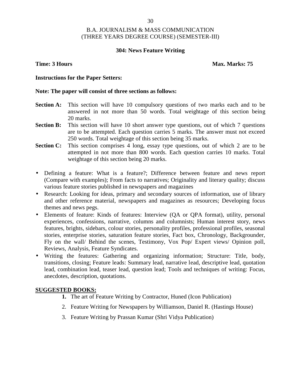### **304: News Feature Writing**

### **Time: 3 Hours Max. Marks: 75**

### **Instructions for the Paper Setters:**

### **Note: The paper will consist of three sections as follows:**

- **Section A:** This section will have 10 compulsory questions of two marks each and to be answered in not more than 50 words. Total weightage of this section being 20 marks.
- **Section B:** This section will have 10 short answer type questions, out of which 7 questions are to be attempted. Each question carries 5 marks. The answer must not exceed 250 words. Total weightage of this section being 35 marks.
- Section C: This section comprises 4 long, essay type questions, out of which 2 are to be attempted in not more than 800 words. Each question carries 10 marks. Total weightage of this section being 20 marks.
- Defining a feature: What is a feature?; Difference between feature and news report (Compare with examples); From facts to narratives; Originality and literary quality; discuss various feature stories published in newspapers and magazines
- Research: Looking for ideas, primary and secondary sources of information, use of library and other reference material, newspapers and magazines as resources; Developing focus themes and news pegs.
- Elements of feature: Kinds of features: Interview (QA or QPA format), utility, personal experiences, confessions, narrative, columns and columnists; Human interest story, news features, brights, sidebars, colour stories, personality profiles, professional profiles, seasonal stories, enterprise stories, saturation feature stories, Fact box, Chronology, Backgrounder, Fly on the wall/ Behind the scenes, Testimony, Vox Pop/ Expert views/ Opinion poll, Reviews, Analysis, Feature Syndicates.
- Writing the features: Gathering and organizing information; Structure: Title, body, transitions, closing; Feature leads: Summary lead, narrative lead, descriptive lead, quotation lead, combination lead, teaser lead, question lead; Tools and techniques of writing: Focus, anecdotes, description, quotations.

### **SUGGESTED BOOKS:**

- **1.** The art of Feature Writing by Contractor, Huned (Icon Publication)
- 2. Feature Writing for Newspapers by Williamson, Daniel R. (Hastings House)
- 3. Feature Writing by Prassan Kumar (Shri Vidya Publication)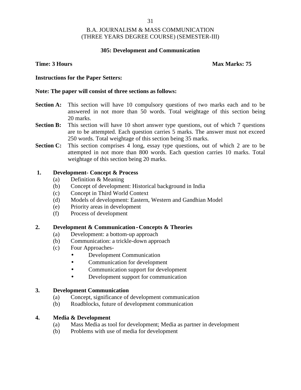### **305: Development and Communication**

### **Time: 3 Hours Max Marks: 75**

### **Instructions for the Paper Setters:**

### **Note: The paper will consist of three sections as follows:**

- **Section A:** This section will have 10 compulsory questions of two marks each and to be answered in not more than 50 words. Total weightage of this section being 20 marks.
- **Section B:** This section will have 10 short answer type questions, out of which 7 questions are to be attempted. Each question carries 5 marks. The answer must not exceed 250 words. Total weightage of this section being 35 marks.
- **Section C:** This section comprises 4 long, essay type questions, out of which 2 are to be attempted in not more than 800 words. Each question carries 10 marks. Total weightage of this section being 20 marks.

### **1. Development- Concept & Process**

- (a) Definition & Meaning
- (b) Concept of development: Historical background in India
- (c) Concept in Third World Context
- (d) Models of development: Eastern, Western and Gandhian Model
- (e) Priority areas in development
- (f) Process of development

### **2. Development & Communication-Concepts & Theories**

- (a) Development: a bottom-up approach
- (b) Communication: a trickle-down approach
- (c) Four Approaches-
	- Development Communication
	- Communication for development
	- Communication support for development
	- Development support for communication

### **3. Development Communication**

- (a) Concept, significance of development communication
- (b) Roadblocks, future of development communication

### **4. Media & Development**

- (a) Mass Media as tool for development; Media as partner in development
- (b) Problems with use of media for development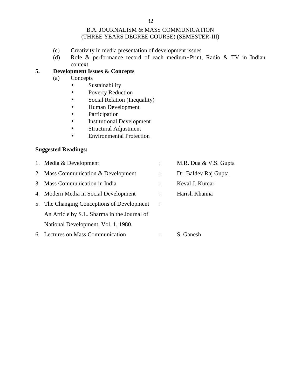- (c) Creativity in media presentation of development issues
- (d) Role & performance record of each medium-Print, Radio & TV in Indian context.

# **5. Development Issues & Concepts**

- (a) Concepts
	- **•** Sustainability
	- Poverty Reduction
	- Social Relation (Inequality)
	- Human Development
	- Participation
	- Institutional Development
	- Structural Adjustment
	- Environmental Protection

| 1. Media & Development                      |              | M.R. Dua & V.S. Gupta |
|---------------------------------------------|--------------|-----------------------|
| 2. Mass Communication & Development         |              | Dr. Baldev Raj Gupta  |
| 3. Mass Communication in India              |              | Keval J. Kumar        |
| 4. Modern Media in Social Development       |              | Harish Khanna         |
| 5. The Changing Conceptions of Development  | $\mathbf{L}$ |                       |
| An Article by S.L. Sharma in the Journal of |              |                       |
| National Development, Vol. 1, 1980.         |              |                       |
| 6. Lectures on Mass Communication           |              | S. Ganesh             |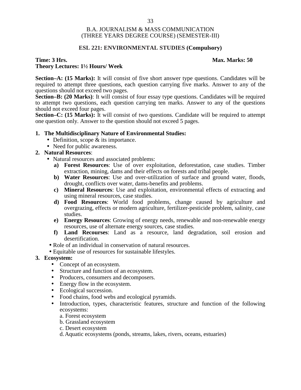### **ESL 221: ENVIRONMENTAL STUDIES (Compulsory)**

### **Time: 3 Hrs. Max. Marks: 50 Theory Lectures: 1½ Hours/ Week**

**Section–A: (15 Marks):** It will consist of five short answer type questions. Candidates will be required to attempt three questions, each question carrying five marks. Answer to any of the questions should not exceed two pages.

**Section–B: (20 Marks)**: It will consist of four essay type questions. Candidates will be required to attempt two questions, each question carrying ten marks. Answer to any of the questions should not exceed four pages.

**Section–C: (15 Marks):** It will consist of two questions. Candidate will be required to attempt one question only. Answer to the question should not exceed 5 pages.

### **1. The Multidisciplinary Nature of Environmental Studies:**

- Definition, scope & its importance.
- Need for public awareness.

### **2. Natural Resources**:

- Natural resources and associated problems:
	- **a) Forest Resources**: Use of over exploitation, deforestation, case studies. Timber extraction, mining, dams and their effects on forests and tribal people.
	- **b) Water Resources**: Use and over-utilization of surface and ground water, floods, drought, conflicts over water, dams-benefits and problems.
	- **c) Mineral Resources**: Use and exploitation, environmental effects of extracting and using mineral resources, case studies.
	- **d) Food Resources**: World food problems, change caused by agriculture and overgrazing, effects or modern agriculture, fertilizer-pesticide problem, salinity, case studies.
	- **e) Energy Resources**: Growing of energy needs, renewable and non-renewable energy resources, use of alternate energy sources, case studies.
	- **f) Land Recourses**: Land as a resource, land degradation, soil erosion and desertification.
- Role of an individual in conservation of natural resources.
- Equitable use of resources for sustainable lifestyles.

### **3. Ecosystem:**

- Concept of an ecosystem.
- Structure and function of an ecosystem.
- Producers, consumers and decomposers.
- Energy flow in the ecosystem.
- Ecological succession.
- Food chains, food webs and ecological pyramids.
- Introduction, types, characteristic features, structure and function of the following ecosystems:
	- a. Forest ecosystem
	- b. Grassland ecosystem
	- c. Desert ecosystem

d.Aquatic ecosystems (ponds, streams, lakes, rivers, oceans, estuaries)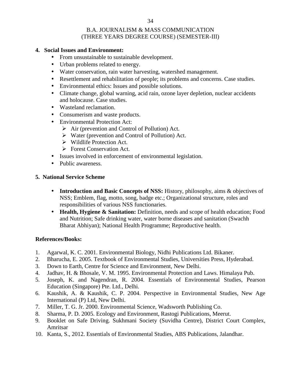### **4. Social Issues and Environment:**

- From unsustainable to sustainable development.
- Urban problems related to energy.
- Water conservation, rain water harvesting, watershed management.
- Resettlement and rehabilitation of people; its problems and concerns. Case studies.
- Environmental ethics: Issues and possible solutions.
- Climate change, global warning, acid rain, ozone layer depletion, nuclear accidents and holocause. Case studies.
- Wasteland reclamation.
- Consumerism and waste products.
- Environmental Protection Act:
	- $\triangleright$  Air (prevention and Control of Pollution) Act.
	- Water (prevention and Control of Pollution) Act.
	- $\triangleright$  Wildlife Protection Act.
	- **Forest Conservation Act.**
- Issues involved in enforcement of environmental legislation.
- Public awareness.

### **5. National Service Scheme**

- **Introduction and Basic Concepts of NSS:** History, philosophy, aims & objectives of NSS; Emblem, flag, motto, song, badge etc.; Organizational structure, roles and responsibilities of various NSS functionaries.
- **Health, Hygiene & Sanitation:** Definition, needs and scope of health education; Food and Nutrition; Safe drinking water, water borne diseases and sanitation (Swachh Bharat Abhiyan); National Health Programme; Reproductive health.

### **References/Books:**

- 1. Agarwal, K. C. 2001. Environmental Biology, Nidhi Publications Ltd. Bikaner.
- 2. Bharucha, E. 2005. Textbook of Environmental Studies, Universities Press, Hyderabad.
- 3. Down to Earth, Centre for Science and Environment, New Delhi.
- 4. Jadhav, H. & Bhosale, V. M. 1995. Environmental Protection and Laws. Himalaya Pub.
- 5. Joseph, K. and Nagendran, R. 2004. Essentials of Environmental Studies, Pearson Education (Singapore) Pte. Ltd., Delhi.
- 6. Kaushik, A. & Kaushik, C. P. 2004. Perspective in Environmental Studies, New Age International (P) Ltd, New Delhi.
- 7. Miller, T. G. Jr. 2000. Environmental Science, Wadsworth Publishing Co.
- 8. Sharma, P. D. 2005. Ecology and Environment, Rastogi Publications, Meerut.
- 9. Booklet on Safe Driving. Sukhmani Society (Suvidha Centre), District Court Complex, Amritsar
- 10. Kanta, S., 2012. Essentials of Environmental Studies, ABS Publications, Jalandhar.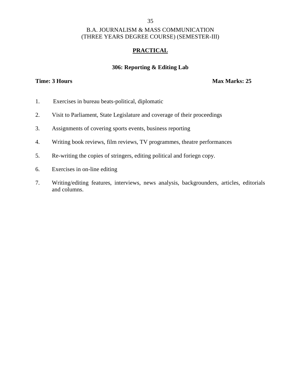### 35

### B.A. JOURNALISM & MASS COMMUNICATION (THREE YEARS DEGREE COURSE) (SEMESTER-III)

### **PRACTICAL**

# **306: Reporting & Editing Lab**

### **Time: 3 Hours Max Marks: 25**

- 1. Exercises in bureau beats-political, diplomatic
- 2. Visit to Parliament, State Legislature and coverage of their proceedings
- 3. Assignments of covering sports events, business reporting
- 4. Writing book reviews, film reviews, TV programmes, theatre performances
- 5. Re-writing the copies of stringers, editing political and foriegn copy.
- 6. Exercises in on-line editing
- 7. Writing/editing features, interviews, news analysis, backgrounders, articles, editorials and columns.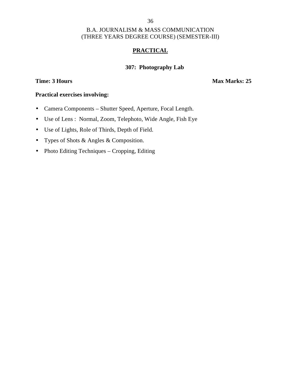### 36

### B.A. JOURNALISM & MASS COMMUNICATION (THREE YEARS DEGREE COURSE) (SEMESTER-III)

# **PRACTICAL**

### **307: Photography Lab**

### **Time: 3 Hours Max Marks: 25**

### **Practical exercises involving:**

- Camera Components Shutter Speed, Aperture, Focal Length.
- Use of Lens : Normal, Zoom, Telephoto, Wide Angle, Fish Eye
- Use of Lights, Role of Thirds, Depth of Field.
- Types of Shots & Angles & Composition.
- Photo Editing Techniques Cropping, Editing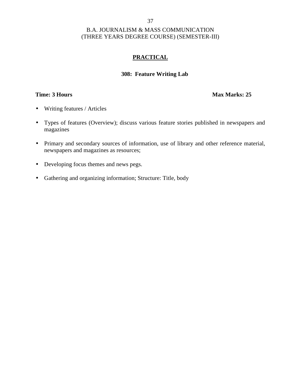# **PRACTICAL**

### **308: Feature Writing Lab**

### **Time: 3 Hours Max Marks: 25**

- Writing features / Articles
- Types of features (Overview); discuss various feature stories published in newspapers and magazines
- Primary and secondary sources of information, use of library and other reference material, newspapers and magazines as resources;
- Developing focus themes and news pegs.
- Gathering and organizing information; Structure: Title, body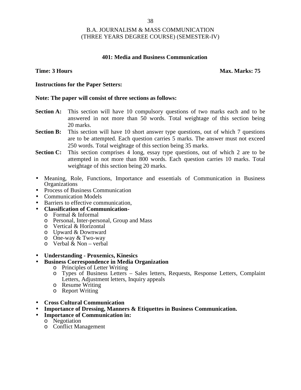### **401: Media and Business Communication**

### **Time: 3 Hours Max. Marks: 75**

### **Instructions for the Paper Setters:**

### **Note: The paper will consist of three sections as follows:**

- **Section A:** This section will have 10 compulsory questions of two marks each and to be answered in not more than 50 words. Total weightage of this section being 20 marks.
- **Section B:** This section will have 10 short answer type questions, out of which 7 questions are to be attempted. Each question carries 5 marks. The answer must not exceed 250 words. Total weightage of this section being 35 marks.
- **Section C:** This section comprises 4 long, essay type questions, out of which 2 are to be attempted in not more than 800 words. Each question carries 10 marks. Total weightage of this section being 20 marks.
- Meaning, Role, Functions, Importance and essentials of Communication in Business **Organizations**
- Process of Business Communication
- Communication Models
- Barriers to effective communication,
- **Classification of Communication-** <sup>o</sup> Formal & Informal
	-
	- o Personal, Inter-personal, Group and Mass
	- o Vertical & Horizontal
	- o Upward & Downward
	- o One-way & Two-way
	- $\circ$  Verbal & Non verbal
- **Understanding - Proxemics, Kinesics**
- **Business Correspondence in Media Organization**
	- o Principles of Letter Writing
	- o Types of Business Letters Sales letters, Requests, Response Letters, Complaint Letters, Adjustment letters, Inquiry appeals
	- o Resume Writing
	- o Report Writing
- **Cross Cultural Communication**
- **Importance of Dressing, Manners & Etiquettes in Business Communication.**
- **Importance of Communication in:**
	- o Negotiation
		- o Conflict Management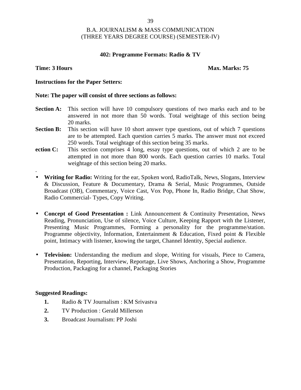### **402: Programme Formats: Radio & TV**

.

### **Time: 3 Hours Max. Marks: 75**

### **Instructions for the Paper Setters:**

### **Note: The paper will consist of three sections as follows:**

- **Section A:** This section will have 10 compulsory questions of two marks each and to be answered in not more than 50 words. Total weightage of this section being 20 marks.
- **Section B:** This section will have 10 short answer type questions, out of which 7 questions are to be attempted. Each question carries 5 marks. The answer must not exceed 250 words. Total weightage of this section being 35 marks.
- **ection C:** This section comprises 4 long, essay type questions, out of which 2 are to be attempted in not more than 800 words. Each question carries 10 marks. Total weightage of this section being 20 marks.
- **Writing for Radio:** Writing for the ear, Spoken word, RadioTalk, News, Slogans, Interview & Discussion, Feature & Documentary, Drama & Serial, Music Programmes, Outside Broadcast (OB), Commentary, Voice Cast, Vox Pop, Phone In, Radio Bridge, Chat Show, Radio Commercial- Types, Copy Writing.
- **Concept of Good Presentation :** Link Announcement & Continuity Presentation, News Reading, Pronunciation, Use of silence, Voice Culture, Keeping Rapport with the Listener, Presenting Music Programmes, Forming a personality for the programme/station. Programme objectivity, Information, Entertainment & Education, Fixed point & Flexible point, Intimacy with listener, knowing the target, Channel Identity, Special audience.
- **Television:** Understanding the medium and slope, Writing for visuals, Piece to Camera, Presentation, Reporting, Interview, Reportage, Live Shows, Anchoring a Show, Programme Production, Packaging for a channel, Packaging Stories

- **1.** Radio & TV Journalism : KM Srivastva
- **2.** TV Production : Gerald Millerson
- **3.** Broadcast Journalism: PP Joshi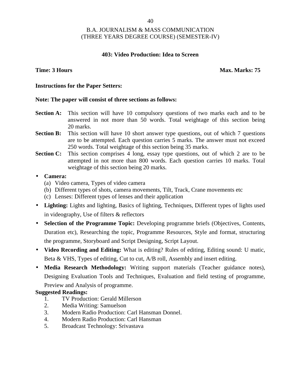### **403: Video Production: Idea to Screen**

**Time: 3 Hours Max. Marks: 75** 

### **Instructions for the Paper Setters:**

### **Note: The paper will consist of three sections as follows:**

- **Section A:** This section will have 10 compulsory questions of two marks each and to be answered in not more than 50 words. Total weightage of this section being 20 marks.
- **Section B:** This section will have 10 short answer type questions, out of which 7 questions are to be attempted. Each question carries 5 marks. The answer must not exceed 250 words. Total weightage of this section being 35 marks.
- **Section C:** This section comprises 4 long, essay type questions, out of which 2 are to be attempted in not more than 800 words. Each question carries 10 marks. Total weightage of this section being 20 marks.

### **Camera:**

- (a) Video camera, Types of video camera
- (b) Different types of shots, camera movements, Tilt, Track, Crane movements etc
- (c) Lenses: Different types of lenses and their application
- **Lighting:** Lights and lighting, Basics of lighting, Techniques, Different types of lights used in videography, Use of filters & reflectors
- **Selection of the Programme Topic:** Developing programme briefs (Objectives, Contents, Duration etc), Researching the topic, Programme Resources, Style and format, structuring the programme, Storyboard and Script Designing, Script Layout.
- **Video Recording and Editing:** What is editing? Rules of editing, Editing sound: U matic, Beta & VHS, Types of editing, Cut to cut, A/B roll, Assembly and insert editing.
- **Media Research Methodology:** Writing support materials (Teacher guidance notes), Designing Evaluation Tools and Techniques, Evaluation and field testing of programme, Preview and Analysis of programme.

- 1. TV Production: Gerald Millerson
- 2. Media Writing: Samuelson
- 3. Modern Radio Production: Carl Hansman Donnel.
- 4. Modern Radio Production: Carl Hansman
- 5. Broadcast Technology: Srivastava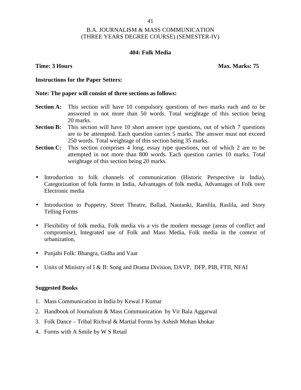### **404: Folk Media**

**Time: 3 Hours Max. Marks: 75** 

### **Instructions for the Paper Setters:**

### **Note: The paper will consist of three sections as follows:**

- **Section A:** This section will have 10 compulsory questions of two marks each and to be answered in not more than 50 words. Total weightage of this section being 20 marks.
- **Section B:** This section will have 10 short answer type questions, out of which 7 questions are to be attempted. Each question carries 5 marks. The answer must not exceed 250 words. Total weightage of this section being 35 marks.
- **Section C:** This section comprises 4 long, essay type questions, out of which 2 are to be attempted in not more than 800 words. Each question carries 10 marks. Total weightage of this section being 20 marks.
- Introduction to folk channels of communication (Historic Perspective in India), Categorization of folk forms in India, Advantages of folk media, Advantages of Folk over Electronic media
- Introduction to Puppetry, Street Theatre, Ballad, Nautanki, Ramlila, Raslila, and Story Telling Forms
- Flexibility of folk media, Folk media vis a vis the modern message (areas of conflict and compromise), Integrated use of Folk and Mass Media, Folk media in the context of urbanization,
- Punjabi Folk: Bhangra, Gidha and Vaar
- Units of Ministry of I & B: Song and Drama Division, DAVP, DFP, PIB, FTII, NFAI

- 1. Mass Communication in India by Kewal J Kumar
- 2. Handbook of Journalism & Mass Communication by Vir Bala Aggarwal
- 3. Folk Dance Tribal Richval & Martial Forms by Ashish Mohan khokar
- 4. Forms with A Smile by W S Retail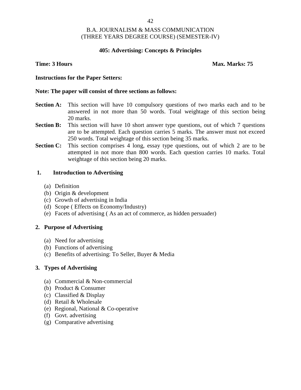### **405: Advertising: Concepts & Principles**

### **Time: 3 Hours Max. Marks: 75**

### **Instructions for the Paper Setters:**

### **Note: The paper will consist of three sections as follows:**

- **Section A:** This section will have 10 compulsory questions of two marks each and to be answered in not more than 50 words. Total weightage of this section being 20 marks.
- **Section B:** This section will have 10 short answer type questions, out of which 7 questions are to be attempted. Each question carries 5 marks. The answer must not exceed 250 words. Total weightage of this section being 35 marks.
- **Section C:** This section comprises 4 long, essay type questions, out of which 2 are to be attempted in not more than 800 words. Each question carries 10 marks. Total weightage of this section being 20 marks.

### **1. Introduction to Advertising**

- (a) Definition
- (b) Origin & development
- (c) Growth of advertising in India
- (d) Scope ( Effects on Economy/Industry)
- (e) Facets of advertising ( As an act of commerce, as hidden persuader)

### **2. Purpose of Advertising**

- (a) Need for advertising
- (b) Functions of advertising
- (c) Benefits of advertising: To Seller, Buyer & Media

### **3. Types of Advertising**

- (a) Commercial & Non-commercial
- (b) Product & Consumer
- (c) Classified & Display
- (d) Retail & Wholesale
- (e) Regional, National & Co-operative
- (f) Govt. advertising
- (g) Comparative advertising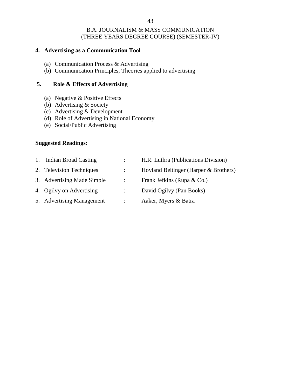### **4. Advertising as a Communication Tool**

- (a) Communication Process & Advertising
- (b) Communication Principles, Theories applied to advertising

### **5. Role & Effects of Advertising**

- (a) Negative & Positive Effects
- (b) Advertising & Society
- (c) Advertising & Development
- (d) Role of Advertising in National Economy
- (e) Social/Public Advertising

### **Suggested Readings:**

1. Indian Broad Casting : H.R. Luthra (Publications Division) 2. Television Techniques : Hoyland Beltinger (Harper & Brothers) 3. Advertising Made Simple : Frank Jefkins (Rupa & Co.) 4. Ogilvy on Advertising : David Ogilvy (Pan Books) 5. Advertising Management : Aaker, Myers & Batra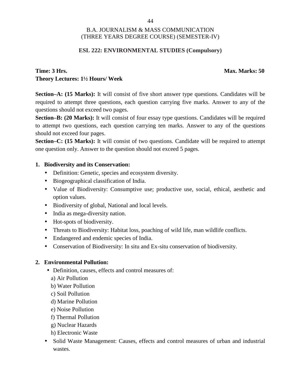### **ESL 222: ENVIRONMENTAL STUDIES (Compulsory)**

# **Time: 3 Hrs. Max. Marks: 50 Theory Lectures: 1½ Hours/ Week**

**Section–A: (15 Marks):** It will consist of five short answer type questions. Candidates will be required to attempt three questions, each question carrying five marks. Answer to any of the questions should not exceed two pages.

**Section–B: (20 Marks):** It will consist of four essay type questions. Candidates will be required to attempt two questions, each question carrying ten marks. Answer to any of the questions should not exceed four pages.

**Section–C: (15 Marks):** It will consist of two questions. Candidate will be required to attempt one question only. Answer to the question should not exceed 5 pages.

# **1. Biodiversity and its Conservation:**

- Definition: Genetic, species and ecosystem diversity.
- Biogeographical classification of India.
- Value of Biodiversity: Consumptive use; productive use, social, ethical, aesthetic and option values.
- Biodiversity of global, National and local levels.
- India as mega-diversity nation.
- Hot-spots of biodiversity.
- Threats to Biodiversity: Habitat loss, poaching of wild life, man wildlife conflicts.
- Endangered and endemic species of India.
- Conservation of Biodiversity: In situ and Ex-situ conservation of biodiversity.

### **2. Environmental Pollution:**

- Definition, causes, effects and control measures of:
	- a) Air Pollution
	- b) Water Pollution
	- c) Soil Pollution
	- d) Marine Pollution
	- e) Noise Pollution
	- f) Thermal Pollution
	- g) Nuclear Hazards
	- h) Electronic Waste
- Solid Waste Management: Causes, effects and control measures of urban and industrial wastes.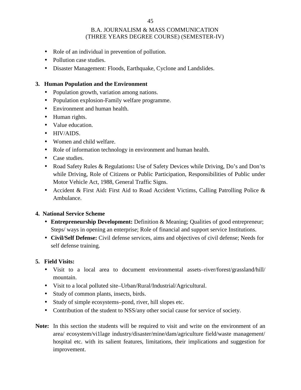- Role of an individual in prevention of pollution.
- Pollution case studies.
- Disaster Management: Floods, Earthquake, Cyclone and Landslides.

# **3. Human Population and the Environment**

- Population growth, variation among nations.
- Population explosion-Family welfare programme.
- Environment and human health.
- Human rights.
- Value education.
- HIV/AIDS
- Women and child welfare.
- Role of information technology in environment and human health.
- Case studies.
- Road Safety Rules & Regulations: Use of Safety Devices while Driving, Do's and Don'ts while Driving, Role of Citizens or Public Participation, Responsibilities of Public under Motor Vehicle Act, 1988, General Traffic Signs.
- Accident & First Aid**:** First Aid to Road Accident Victims, Calling Patrolling Police & Ambulance.

### **4. National Service Scheme**

- **Entrepreneurship Development:** Definition & Meaning; Qualities of good entrepreneur; Steps/ ways in opening an enterprise; Role of financial and support service Institutions.
- **Civil/Self Defense:** Civil defense services, aims and objectives of civil defense; Needs for self defense training.

### **5. Field Visits:**

- Visit to a local area to document environmental assets–river/forest/grassland/hill/ mountain.
- Visit to a local polluted site–Urban/Rural/Industrial/Agricultural.
- Study of common plants, insects, birds.
- Study of simple ecosystems–pond, river, hill slopes etc.
- Contribution of the student to NSS/any other social cause for service of society.
- **Note:** In this section the students will be required to visit and write on the environment of an area/ ecosystem/vi1lage industry/disaster/mine/dam/agriculture field/waste management/ hospital etc. with its salient features, limitations, their implications and suggestion for improvement.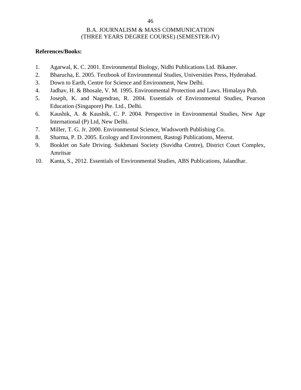### **References/Books:**

- 1. Agarwal, K. C. 2001. Environmental Biology, Nidhi Publications Ltd. Bikaner.
- 2. Bharucha, E. 2005. Textbook of Environmental Studies, Universities Press, Hyderabad.
- 3. Down to Earth, Centre for Science and Environment, New Delhi.
- 4. Jadhav, H. & Bhosale, V. M. 1995. Environmental Protection and Laws. Himalaya Pub.
- 5. Joseph, K. and Nagendran, R. 2004. Essentials of Environmental Studies, Pearson Education (Singapore) Pte. Ltd., Delhi.
- 6. Kaushik, A. & Kaushik, C. P. 2004. Perspective in Environmental Studies, New Age International (P) Ltd, New Delhi.
- 7. Miller, T. G. Jr. 2000. Environmental Science, Wadsworth Publishing Co.
- 8. Sharma, P. D. 2005. Ecology and Environment, Rastogi Publications, Meerut.
- 9. Booklet on Safe Driving. Sukhmani Society (Suvidha Centre), District Court Complex, Amritsar
- 10. Kanta, S., 2012. Essentials of Environmental Studies, ABS Publications, Jalandhar.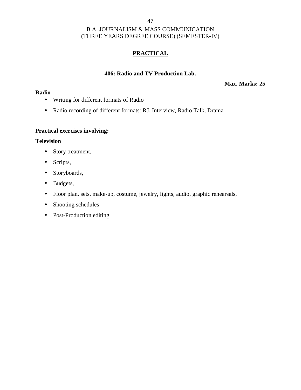# **PRACTICAL**

### **406: Radio and TV Production Lab.**

### **Max. Marks: 25**

### **Radio**

- Writing for different formats of Radio
- Radio recording of different formats: RJ, Interview, Radio Talk, Drama

# **Practical exercises involving:**

### **Television**

- Story treatment,
- Scripts,
- Storyboards,
- Budgets,
- Floor plan, sets, make-up, costume, jewelry, lights, audio, graphic rehearsals,
- Shooting schedules
- Post-Production editing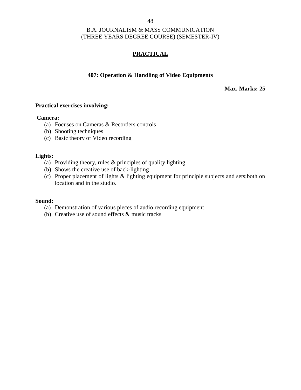# **PRACTICAL**

### **407: Operation & Handling of Video Equipments**

**Max. Marks: 25**

### **Practical exercises involving:**

### **Camera:**

- (a) Focuses on Cameras & Recorders controls
- (b) Shooting techniques
- (c) Basic theory of Video recording

### **Lights:**

- (a) Providing theory, rules & principles of quality lighting
- (b) Shows the creative use of back-lighting
- (c) Proper placement of lights & lighting equipment for principle subjects and sets;both on location and in the studio.

### **Sound:**

- (a) Demonstration of various pieces of audio recording equipment
- (b) Creative use of sound effects & music tracks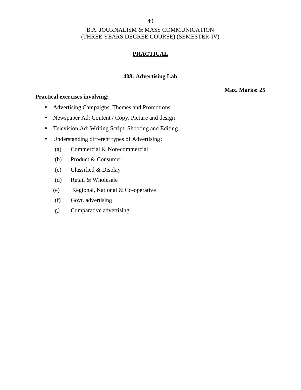### 49

# B.A. JOURNALISM & MASS COMMUNICATION (THREE YEARS DEGREE COURSE) (SEMESTER-IV)

# **PRACTICAL**

### **408: Advertising Lab**

### **Practical exercises involving:**

- Advertising Campaigns, Themes and Promotions
- Newspaper Ad: Content / Copy, Picture and design
- Television Ad: Writing Script, Shooting and Editing
- Understanding different types of Advertising**:**
	- (a) Commercial & Non-commercial
	- (b) Product & Consumer
	- (c) Classified & Display
	- (d) Retail & Wholesale
	- (e) Regional, National & Co-operative
	- (f) Govt. advertising
	- g) Comparative advertising

### **Max. Marks: 25**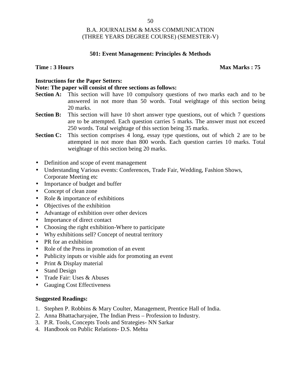### **501: Event Management: Principles & Methods**

### **Time :** 3 Hours **Max Marks : 75**

# **Instructions for the Paper Setters:**

### **Note: The paper will consist of three sections as follows:**

- **Section A:** This section will have 10 compulsory questions of two marks each and to be answered in not more than 50 words. Total weightage of this section being 20 marks.
- **Section B:** This section will have 10 short answer type questions, out of which 7 questions are to be attempted. Each question carries 5 marks. The answer must not exceed 250 words. Total weightage of this section being 35 marks.
- **Section C:** This section comprises 4 long, essay type questions, out of which 2 are to be attempted in not more than 800 words. Each question carries 10 marks. Total weightage of this section being 20 marks.
- Definition and scope of event management
- Understanding Various events: Conferences, Trade Fair, Wedding, Fashion Shows, Corporate Meeting etc
- Importance of budget and buffer
- Concept of clean zone
- Role & importance of exhibitions
- Objectives of the exhibition
- Advantage of exhibition over other devices
- Importance of direct contact
- Choosing the right exhibition-Where to participate
- Why exhibitions sell? Concept of neutral territory
- PR for an exhibition
- Role of the Press in promotion of an event
- Publicity inputs or visible aids for promoting an event
- Print & Display material
- Stand Design
- Trade Fair: Uses & Abuses
- Gauging Cost Effectiveness

- 1. Stephen P. Robbins & Mary Coulter, Management, Prentice Hall of India.
- 2. Anna Bhattacharyajee, The Indian Press Profession to Industry.
- 3. P.R. Tools, Concepts Tools and Strategies- NN Sarkar
- 4. Handbook on Public Relations- D.S. Mehta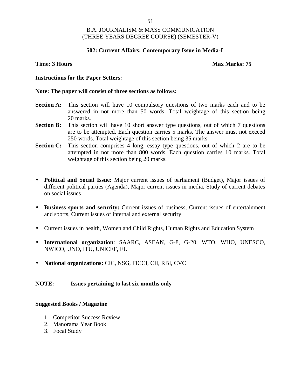### **502: Current Affairs: Contemporary Issue in Media-I**

### **Time: 3 Hours Max Marks: 75**

### **Instructions for the Paper Setters:**

### **Note: The paper will consist of three sections as follows:**

- **Section A:** This section will have 10 compulsory questions of two marks each and to be answered in not more than 50 words. Total weightage of this section being 20 marks.
- **Section B:** This section will have 10 short answer type questions, out of which 7 questions are to be attempted. Each question carries 5 marks. The answer must not exceed 250 words. Total weightage of this section being 35 marks.
- **Section C:** This section comprises 4 long, essay type questions, out of which 2 are to be attempted in not more than 800 words. Each question carries 10 marks. Total weightage of this section being 20 marks.
- **Political and Social Issue:** Major current issues of parliament (Budget), Major issues of different political parties (Agenda), Major current issues in media, Study of current debates on social issues
- **Business sports and security:** Current issues of business, Current issues of entertainment and sports, Current issues of internal and external security
- Current issues in health, Women and Child Rights, Human Rights and Education System
- **International organization**: SAARC, ASEAN, G-8, G-20, WTO, WHO, UNESCO, NWICO, UNO, ITU, UNICEF, EU
- **National organizations:** CIC, NSG, FICCI, CII, RBI, CVC

### **NOTE: Issues pertaining to last six months only**

### **Suggested Books / Magazine**

- 1. Competitor Success Review
- 2. Manorama Year Book
- 3. Focal Study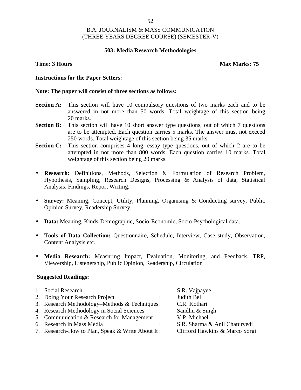### **503: Media Research Methodologies**

### **Time: 3 Hours Max Marks: 75**

### **Instructions for the Paper Setters:**

### **Note: The paper will consist of three sections as follows:**

- **Section A:** This section will have 10 compulsory questions of two marks each and to be answered in not more than 50 words. Total weightage of this section being 20 marks.
- **Section B:** This section will have 10 short answer type questions, out of which 7 questions are to be attempted. Each question carries 5 marks. The answer must not exceed 250 words. Total weightage of this section being 35 marks.
- **Section C:** This section comprises 4 long, essay type questions, out of which 2 are to be attempted in not more than 800 words. Each question carries 10 marks. Total weightage of this section being 20 marks.
- **Research:** Definitions, Methods, Selection & Formulation of Research Problem, Hypothesis, Sampling, Research Designs, Processing & Analysis of data, Statistical Analysis, Findings, Report Writing.
- **Survey:** Meaning, Concept, Utility, Planning, Organising & Conducting survey, Public Opinion Survey, Readership Survey.
- **Data:** Meaning, Kinds-Demographic, Socio-Economic, Socio-Psychological data.
- **Tools of Data Collection:** Questionnaire, Schedule, Interview, Case study, Observation, Content Analysis etc.
- **Media Research:** Measuring Impact, Evaluation, Monitoring, and Feedback. TRP, Viewership, Listenership, Public Opinion, Readership, Circulation

| 1. Social Research                               | S.R. Vajpayee                  |
|--------------------------------------------------|--------------------------------|
| 2. Doing Your Research Project                   | Judith Bell                    |
| 3. Research Methodology–Methods & Techniques:    | C.R. Kothari                   |
| 4. Research Methodology in Social Sciences       | Sandhu & Singh                 |
| 5. Communication & Research for Management :     | V.P. Michael                   |
| 6. Research in Mass Media                        | S.R. Sharma & Anil Chaturvedi  |
| 7. Research-How to Plan, Speak & Write About It: | Clifford Hawkins & Marco Sorgi |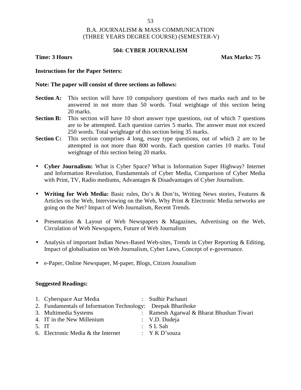### **504: CYBER JOURNALISM**

**Time: 3 Hours Max Marks:** 75

### **Instructions for the Paper Setters:**

### **Note: The paper will consist of three sections as follows:**

- **Section A:** This section will have 10 compulsory questions of two marks each and to be answered in not more than 50 words. Total weightage of this section being 20 marks.
- **Section B:** This section will have 10 short answer type questions, out of which 7 questions are to be attempted. Each question carries 5 marks. The answer must not exceed 250 words. Total weightage of this section being 35 marks.
- **Section C:** This section comprises 4 long, essay type questions, out of which 2 are to be attempted in not more than 800 words. Each question carries 10 marks. Total weightage of this section being 20 marks.
- **Cyber Journalism:** What is Cyber Space? What is Information Super Highway? Internet and Information Revolution, Fundamentals of Cyber Media, Comparison of Cyber Media with Print, TV, Radio mediums, Advantages & Disadvantages of Cyber Journalism.
- **Writing for Web Media:** Basic rules, Do's & Don'ts, Writing News stories, Features & Articles on the Web, Interviewing on the Web, Why Print & Electronic Media networks are going on the Net? Impact of Web Journalism, Recent Trends.
- Presentation & Layout of Web Newspapers & Magazines, Advertising on the Web, Circulation of Web Newspapers, Future of Web Journalism
- Analysis of important Indian News-Based Web-sites, Trends in Cyber Reporting & Editing, Impact of globalisation on Web Journalism, Cyber Laws, Concept of e-governance.
- e-Paper, Online Newspaper, M-paper, Blogs, Citizen Jounalism

|       | 1. Cyberspace Aur Media                                     | : Sudhir Pachauri                        |
|-------|-------------------------------------------------------------|------------------------------------------|
|       | 2. Fundamentals of Information Technology: Deepak Bharihoke |                                          |
|       | 3. Multimedia Systems                                       | : Ramesh Agarwal & Bharat Bhushan Tiwari |
|       | 4. IT in the New Millenium                                  | : V.D. Dudeja                            |
| 5. IT |                                                             | $:$ SL Sah                               |
|       | 6. Electronic Media & the Internet                          | : Y K D'souza                            |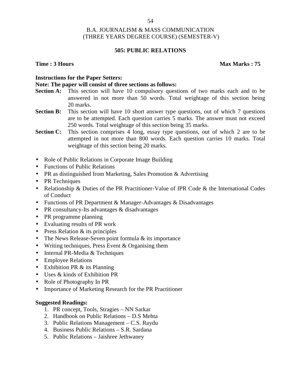### **505: PUBLIC RELATIONS**

### **Time : 3 Hours Max Marks : 75**

### **Instructions for the Paper Setters:**

### **Note: The paper will consist of three sections as follows:**

- **Section A:** This section will have 10 compulsory questions of two marks each and to be answered in not more than 50 words. Total weightage of this section being 20 marks.
- **Section B:** This section will have 10 short answer type questions, out of which 7 questions are to be attempted. Each question carries 5 marks. The answer must not exceed 250 words. Total weightage of this section being 35 marks.
- **Section C:** This section comprises 4 long, essay type questions, out of which 2 are to be attempted in not more than 800 words. Each question carries 10 marks. Total weightage of this section being 20 marks.
- Role of Public Relations in Corporate Image Building
- Functions of Public Relations
- PR as distinguished from Marketing, Sales Promotion & Advertising
- PR Techniques
- Relationship & Duties of the PR Practitioner-Value of IPR Code & the International Codes of Conduct
- Functions of PR Department & Manager-Advantages & Disadvantages
- PR consultancy-Its advantages & disadvantages
- PR programme planning
- Evaluating results of PR work
- Press Relation  $&$  its principles
- The News Release-Seven point formula  $&$  its importance
- $\bullet$  Writing techniques, Press Event & Organising them
- Internal PR-Media & Techniques
- Employee Relations
- Exhibition PR & its Planning
- Uses & kinds of Exhibition PR
- Role of Photography In PR
- Importance of Marketing Research for the PR Practitioner

- 1. PR concept, Tools, Stragies NN Sarkar
- 2. Handbook on Public Relations D.S Mehta
- 3. Public Relations Management C.S. Raydu
- 4. Business Public Relations S.R. Sardana
- 5. Public Relations Jaishree Jethwaney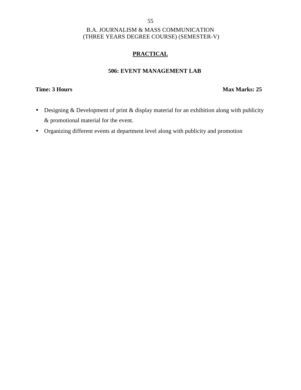# **PRACTICAL**

### **506: EVENT MANAGEMENT LAB**

# **Time: 3 Hours Max Marks: 25**

- Designing & Development of print & display material for an exhibition along with publicity & promotional material for the event.
- Organizing different events at department level along with publicity and promotion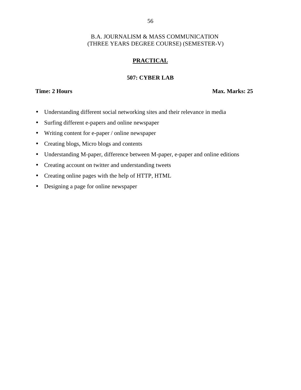# **PRACTICAL**

### **507: CYBER LAB**

**Time: 2 Hours Max. Marks: 25** 

- Understanding different social networking sites and their relevance in media
- Surfing different e-papers and online newspaper
- Writing content for e-paper / online newspaper
- Creating blogs, Micro blogs and contents
- Understanding M-paper, difference between M-paper, e-paper and online editions
- Creating account on twitter and understanding tweets
- Creating online pages with the help of HTTP, HTML
- Designing a page for online newspaper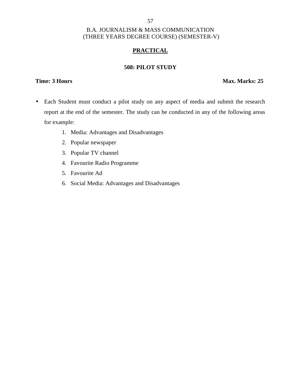### 57

### B.A. JOURNALISM & MASS COMMUNICATION (THREE YEARS DEGREE COURSE) (SEMESTER-V)

### **PRACTICAL**

### **508: PILOT STUDY**

### **Time: 3 Hours Max. Marks: 25**

- Each Student must conduct a pilot study on any aspect of media and submit the research report at the end of the semester. The study can be conducted in any of the following areas for example:
	- 1. Media: Advantages and Disadvantages
	- 2. Popular newspaper
	- 3. Popular TV channel
	- 4. Favourite Radio Programme
	- 5. Favourite Ad
	- 6. Social Media: Advantages and Disadvantages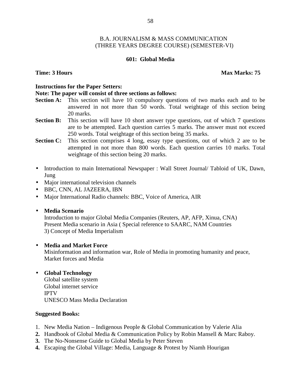### **601: Global Media**

### **Time: 3 Hours Max Marks: 75**

### **Instructions for the Paper Setters:**

### **Note: The paper will consist of three sections as follows:**

- **Section A:** This section will have 10 compulsory questions of two marks each and to be answered in not more than 50 words. Total weightage of this section being 20 marks.
- **Section B:** This section will have 10 short answer type questions, out of which 7 questions are to be attempted. Each question carries 5 marks. The answer must not exceed 250 words. Total weightage of this section being 35 marks.
- **Section C:** This section comprises 4 long, essay type questions, out of which 2 are to be attempted in not more than 800 words. Each question carries 10 marks. Total weightage of this section being 20 marks.
- Introduction to main International Newspaper : Wall Street Journal/ Tabloid of UK, Dawn, Jung
- Major international television channels
- BBC, CNN, AL JAZEERA, IBN
- Major International Radio channels: BBC, Voice of America, AIR
- **Media Scenario**

Introduction to major Global Media Companies (Reuters, AP, AFP, Xinua, CNA) Present Media scenario in Asia ( Special reference to SAARC, NAM Countries 3) Concept of Media Imperialism

### **Media and Market Force**

Misinformation and information war, Role of Media in promoting humanity and peace, Market forces and Media

# **Global Technology**

Global satellite system Global internet service IPTV UNESCO Mass Media Declaration

- 1. New Media Nation Indigenous People & Global Communication by Valerie Alia
- **2.** Handbook of Global Media & Communication Policy by Robin Mansell & Marc Raboy.
- **3.** The No-Nonsense Guide to Global Media by Peter Steven
- **4.** Escaping the Global Village: Media, Language & Protest by Niamh Hourigan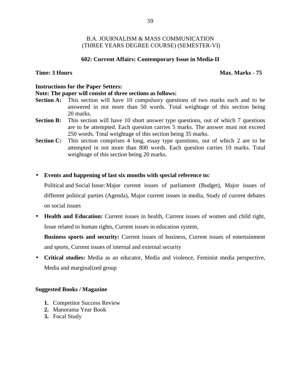### **602: Current Affairs: Contemporary Issue in Media-II**

### **Time: 3 Hours Max. Marks - 75**

### **Instructions for the Paper Setters:**

### **Note: The paper will consist of three sections as follows:**

- **Section A:** This section will have 10 compulsory questions of two marks each and to be answered in not more than 50 words. Total weightage of this section being 20 marks.
- **Section B:** This section will have 10 short answer type questions, out of which 7 questions are to be attempted. Each question carries 5 marks. The answer must not exceed 250 words. Total weightage of this section being 35 marks.
- **Section C:** This section comprises 4 long, essay type questions, out of which 2 are to be attempted in not more than 800 words. Each question carries 10 marks. Total weightage of this section being 20 marks.

### **Events and happening of last six months with special reference to:**

Political and Social Issue: Major current issues of parliament (Budget), Major issues of different political parties (Agenda), Major current issues in media, Study of current debates on social issues

 **Health and Education:** Current issues in health, Current issues of women and child right, Issue related to human rights, Current issues in education system,

**Business sports and security:** Current issues of business, Current issues of entertainment and sports, Current issues of internal and external security

 **Critical studies:** Media as an educator, Media and violence, Feminist media perspective, Media and marginalized group

### **Suggested Books / Magazine**

- **1.** Competitor Success Review
- **2.** Manorama Year Book
- **3.** Focal Study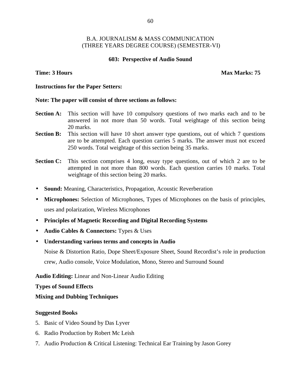### **603: Perspective of Audio Sound**

### **Time: 3 Hours Max Marks: 75**

### **Instructions for the Paper Setters:**

### **Note: The paper will consist of three sections as follows:**

- **Section A:** This section will have 10 compulsory questions of two marks each and to be answered in not more than 50 words. Total weightage of this section being 20 marks.
- **Section B:** This section will have 10 short answer type questions, out of which 7 questions are to be attempted. Each question carries 5 marks. The answer must not exceed 250 words. Total weightage of this section being 35 marks.
- **Section C:** This section comprises 4 long, essay type questions, out of which 2 are to be attempted in not more than 800 words. Each question carries 10 marks. Total weightage of this section being 20 marks.
- **Sound:** Meaning, Characteristics, Propagation, Acoustic Reverberation
- **Microphones:** Selection of Microphones, Types of Microphones on the basis of principles, uses and polarization, Wireless Microphones
- **Principles of Magnetic Recording and Digital Recording Systems**
- **Audio Cables & Connectors:** Types & Uses
- **Understanding various terms and concepts in Audio**

Noise & Distortion Ratio, Dope Sheet/Exposure Sheet, Sound Recordist's role in production crew, Audio console, Voice Modulation, Mono, Stereo and Surround Sound

**Audio Editing:** Linear and Non-Linear Audio Editing

**Types of Sound Effects**

### **Mixing and Dubbing Techniques**

- 5. Basic of Video Sound by Das Lyver
- 6. Radio Production by Robert Mc Leish
- 7. Audio Production & Critical Listening: Technical Ear Training by Jason Gorey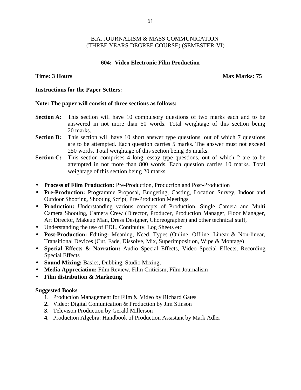### **604: Video Electronic Film Production**

**Time: 3 Hours Max Marks:** 75

### **Instructions for the Paper Setters:**

### **Note: The paper will consist of three sections as follows:**

- **Section A:** This section will have 10 compulsory questions of two marks each and to be answered in not more than 50 words. Total weightage of this section being 20 marks.
- **Section B:** This section will have 10 short answer type questions, out of which 7 questions are to be attempted. Each question carries 5 marks. The answer must not exceed 250 words. Total weightage of this section being 35 marks.
- **Section C:** This section comprises 4 long, essay type questions, out of which 2 are to be attempted in not more than 800 words. Each question carries 10 marks. Total weightage of this section being 20 marks.
- **Process of Film Production:** Pre-Production, Production and Post-Production
- **Pre-Production:** Programme Proposal, Budgeting, Casting, Location Survey, Indoor and Outdoor Shooting, Shooting Script, Pre-Production Meetings
- **Production:** Understanding various concepts of Production, Single Camera and Multi Camera Shooting, Camera Crew (Director, Producer, Production Manager, Floor Manager, Art Director, Makeup Man, Dress Designer, Choreographer) and other technical staff,
- Understanding the use of EDL, Continuity, Log Sheets etc
- **Post-Production:** Editing- Meaning, Need, Types (Online, Offline, Linear & Non-linear, Transitional Devices (Cut, Fade, Dissolve, Mix, Superimposition, Wipe & Montage)
- **Special Effects & Narration:** Audio Special Effects, Video Special Effects, Recording Special Effects
- **Sound Mixing:** Basics, Dubbing, Studio Mixing,
- **Media Appreciation:** Film Review, Film Criticism, Film Journalism
- **Film distribution & Marketing**

- 1. Production Management for Film & Video by Richard Gates
- **2.** Video: Digital Comunication & Production by Jim Stinson
- **3.** Televison Production by Gerald Millerson
- **4.** Production Algebra: Handbook of Production Assistant by Mark Adler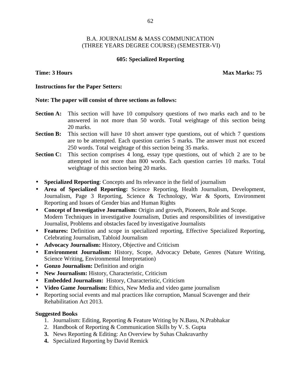### **605: Specialized Reporting**

**Time: 3 Hours Max Marks: 75** 

### **Instructions for the Paper Setters:**

### **Note: The paper will consist of three sections as follows:**

- **Section A:** This section will have 10 compulsory questions of two marks each and to be answered in not more than 50 words. Total weightage of this section being 20 marks.
- **Section B:** This section will have 10 short answer type questions, out of which 7 questions are to be attempted. Each question carries 5 marks. The answer must not exceed 250 words. Total weightage of this section being 35 marks.
- **Section C:** This section comprises 4 long, essay type questions, out of which 2 are to be attempted in not more than 800 words. Each question carries 10 marks. Total weightage of this section being 20 marks.
- **Specialized Reporting**: Concepts and Its relevance in the field of journalism
- **Area of Specialized Reporting:** Science Reporting, Health Journalism, Development, Journalism, Page 3 Reporting, Science & Technology, War & Sports, Environment Reporting and Issues of Gender bias and Human Rights
- **Concept of Investigative Journalism:** Origin and growth, Pioneers, Role and Scope. Modern Techniques in investigative Journalism, Duties and responsibilities of investigative Journalist, Problems and obstacles faced by investigative Journalists
- **Features:** Definition and scope in specialized reporting, Effective Specialized Reporting, Celebrating Journalism, Tabloid Journalism
- **Advocacy Journalism:** History, Objective and Criticism
- **Environment Journalism:** History, Scope, Advocacy Debate, Genres (Nature Writing, Science Writing, Environmental Interpretation)
- **Gonzo Journalism:** Definition and origin
- **New Journalism:** History, Characteristic, Criticism
- **Embedded Journalism:** History, Characteristic, Criticism
- **Video Game Journalism:** Ethics, New Media and video game journalism
- Reporting social events and mal practices like corruption, Manual Scavenger and their Rehabilitation Act 2013.

- 1. Journalism: Editing, Reporting & Feature Writing by N.Basu, N.Prabhakar
- 2. Handbook of Reporting & Communication Skills by V. S. Gupta
- **3.** News Reporting & Editing: An Overview by Suhas Chakravarthy
- **4.** Specialized Reporting by David Remick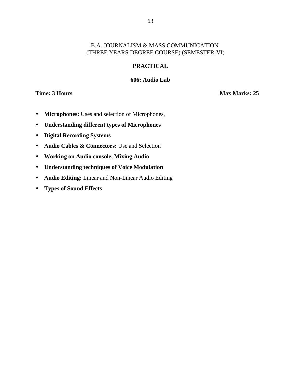# **PRACTICAL**

### **606: Audio Lab**

**Time: 3 Hours Max Marks: 25** 

- **Microphones:** Uses and selection of Microphones,
- **Understanding different types of Microphones**
- **Digital Recording Systems**
- **Audio Cables & Connectors:** Use and Selection
- **Working on Audio console, Mixing Audio**
- **Understanding techniques of Voice Modulation**
- **Audio Editing:** Linear and Non-Linear Audio Editing
- **Types of Sound Effects**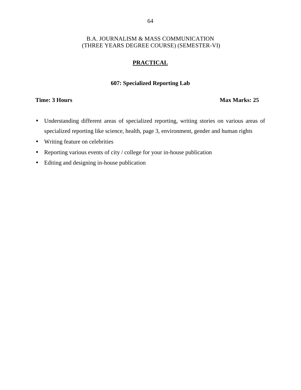### **PRACTICAL**

### **607: Specialized Reporting Lab**

### **Time: 3 Hours Max Marks: 25**

- Understanding different areas of specialized reporting, writing stories on various areas of specialized reporting like science, health, page 3, environment, gender and human rights
- Writing feature on celebrities
- Reporting various events of city / college for your in-house publication
- Editing and designing in-house publication